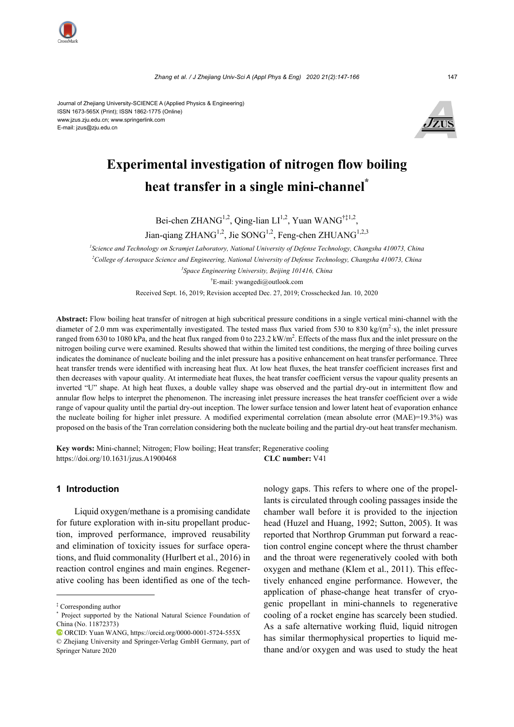

Journal of Zhejiang University-SCIENCE A (Applied Physics & Engineering) ISSN 1673-565X (Print); ISSN 1862-1775 (Online) www.jzus.zju.edu.cn; www.springerlink.com E-mail: jzus@zju.edu.cn



# **Experimental investigation of nitrogen flow boiling heat transfer in a single mini-channel\***

Bei-chen ZHANG<sup>1,2</sup>, Qing-lian LI<sup>1,2</sup>, Yuan WANG<sup>†‡1,2</sup>, Jian-qiang ZHANG<sup>1,2</sup>, Jie SONG<sup>1,2</sup>, Feng-chen ZHUANG<sup>1,2,3</sup>

 *Science and Technology on Scramjet Laboratory, National University of Defense Technology, Changsha 410073, China College of Aerospace Science and Engineering, National University of Defense Technology, Changsha 410073, China Space Engineering University, Beijing 101416, China*  † E-mail: ywangedi@outlook.com

Received Sept. 16, 2019; Revision accepted Dec. 27, 2019; Crosschecked Jan. 10, 2020

**Abstract:** Flow boiling heat transfer of nitrogen at high subcritical pressure conditions in a single vertical mini-channel with the diameter of 2.0 mm was experimentally investigated. The tested mass flux varied from 530 to 830 kg/( $m^2$ ·s), the inlet pressure ranged from 630 to 1080 kPa, and the heat flux ranged from 0 to 223.2 kW/m<sup>2</sup>. Effects of the mass flux and the inlet pressure on the nitrogen boiling curve were examined. Results showed that within the limited test conditions, the merging of three boiling curves indicates the dominance of nucleate boiling and the inlet pressure has a positive enhancement on heat transfer performance. Three heat transfer trends were identified with increasing heat flux. At low heat fluxes, the heat transfer coefficient increases first and then decreases with vapour quality. At intermediate heat fluxes, the heat transfer coefficient versus the vapour quality presents an inverted "U" shape. At high heat fluxes, a double valley shape was observed and the partial dry-out in intermittent flow and annular flow helps to interpret the phenomenon. The increasing inlet pressure increases the heat transfer coefficient over a wide range of vapour quality until the partial dry-out inception. The lower surface tension and lower latent heat of evaporation enhance the nucleate boiling for higher inlet pressure. A modified experimental correlation (mean absolute error (MAE)=19.3%) was proposed on the basis of the Tran correlation considering both the nucleate boiling and the partial dry-out heat transfer mechanism.

**Key words:** Mini-channel; Nitrogen; Flow boiling; Heat transfer; Regenerative cooling https://doi.org/10.1631/jzus.A1900468 **CLC number:** V41

# **1 Introduction**

Liquid oxygen/methane is a promising candidate for future exploration with in-situ propellant production, improved performance, improved reusability and elimination of toxicity issues for surface operations, and fluid commonality (Hurlbert et al., 2016) in reaction control engines and main engines. Regenerative cooling has been identified as one of the technology gaps. This refers to where one of the propellants is circulated through cooling passages inside the chamber wall before it is provided to the injection head (Huzel and Huang, 1992; Sutton, 2005). It was reported that Northrop Grumman put forward a reaction control engine concept where the thrust chamber and the throat were regeneratively cooled with both oxygen and methane (Klem et al., 2011). This effectively enhanced engine performance. However, the application of phase-change heat transfer of cryogenic propellant in mini-channels to regenerative cooling of a rocket engine has scarcely been studied. As a safe alternative working fluid, liquid nitrogen has similar thermophysical properties to liquid methane and/or oxygen and was used to study the heat

<sup>‡</sup> Corresponding author

<sup>\*</sup> Project supported by the National Natural Science Foundation of China (No. 11872373)

ORCID: Yuan WANG, https://orcid.org/0000-0001-5724-555X

<sup>©</sup> Zhejiang University and Springer-Verlag GmbH Germany, part of Springer Nature 2020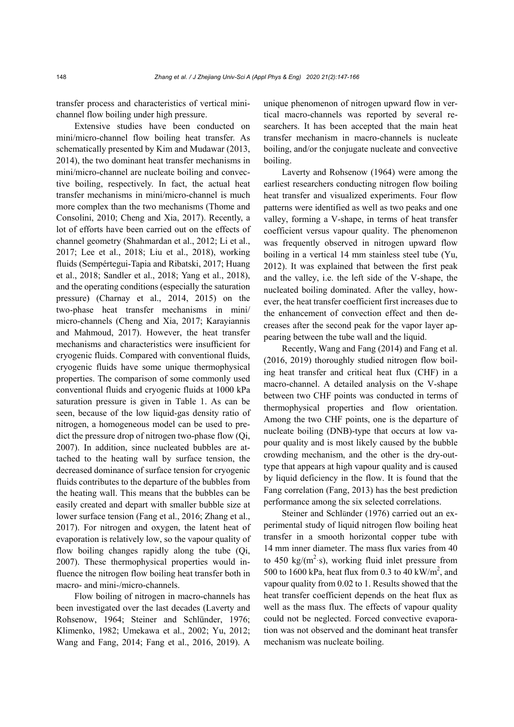transfer process and characteristics of vertical minichannel flow boiling under high pressure.

Extensive studies have been conducted on mini/micro-channel flow boiling heat transfer. As schematically presented by Kim and Mudawar (2013, 2014), the two dominant heat transfer mechanisms in mini/micro-channel are nucleate boiling and convective boiling, respectively. In fact, the actual heat transfer mechanisms in mini/micro-channel is much more complex than the two mechanisms (Thome and Consolini, 2010; Cheng and Xia, 2017). Recently, a lot of efforts have been carried out on the effects of channel geometry (Shahmardan et al., 2012; Li et al., 2017; Lee et al., 2018; Liu et al., 2018), working fluids (Sempértegui-Tapia and Ribatski, 2017; Huang et al., 2018; Sandler et al., 2018; Yang et al., 2018), and the operating conditions (especially the saturation pressure) (Charnay et al., 2014, 2015) on the two-phase heat transfer mechanisms in mini/ micro-channels (Cheng and Xia, 2017; Karayiannis and Mahmoud, 2017). However, the heat transfer mechanisms and characteristics were insufficient for cryogenic fluids. Compared with conventional fluids, cryogenic fluids have some unique thermophysical properties. The comparison of some commonly used conventional fluids and cryogenic fluids at 1000 kPa saturation pressure is given in Table 1. As can be seen, because of the low liquid-gas density ratio of nitrogen, a homogeneous model can be used to predict the pressure drop of nitrogen two-phase flow (Qi, 2007). In addition, since nucleated bubbles are attached to the heating wall by surface tension, the decreased dominance of surface tension for cryogenic fluids contributes to the departure of the bubbles from the heating wall. This means that the bubbles can be easily created and depart with smaller bubble size at lower surface tension (Fang et al., 2016; Zhang et al., 2017). For nitrogen and oxygen, the latent heat of evaporation is relatively low, so the vapour quality of flow boiling changes rapidly along the tube (Qi, 2007). These thermophysical properties would influence the nitrogen flow boiling heat transfer both in macro- and mini-/micro-channels.

Flow boiling of nitrogen in macro-channels has been investigated over the last decades (Laverty and Rohsenow, 1964; Steiner and Schlünder, 1976; Klimenko, 1982; Umekawa et al., 2002; Yu, 2012; Wang and Fang, 2014; Fang et al., 2016, 2019). A unique phenomenon of nitrogen upward flow in vertical macro-channels was reported by several researchers. It has been accepted that the main heat transfer mechanism in macro-channels is nucleate boiling, and/or the conjugate nucleate and convective boiling.

Laverty and Rohsenow (1964) were among the earliest researchers conducting nitrogen flow boiling heat transfer and visualized experiments. Four flow patterns were identified as well as two peaks and one valley, forming a V-shape, in terms of heat transfer coefficient versus vapour quality. The phenomenon was frequently observed in nitrogen upward flow boiling in a vertical 14 mm stainless steel tube (Yu, 2012). It was explained that between the first peak and the valley, i.e. the left side of the V-shape, the nucleated boiling dominated. After the valley, however, the heat transfer coefficient first increases due to the enhancement of convection effect and then decreases after the second peak for the vapor layer appearing between the tube wall and the liquid.

Recently, Wang and Fang (2014) and Fang et al. (2016, 2019) thoroughly studied nitrogen flow boiling heat transfer and critical heat flux (CHF) in a macro-channel. A detailed analysis on the V-shape between two CHF points was conducted in terms of thermophysical properties and flow orientation. Among the two CHF points, one is the departure of nucleate boiling (DNB)-type that occurs at low vapour quality and is most likely caused by the bubble crowding mechanism, and the other is the dry-outtype that appears at high vapour quality and is caused by liquid deficiency in the flow. It is found that the Fang correlation (Fang, 2013) has the best prediction performance among the six selected correlations.

Steiner and Schlünder (1976) carried out an experimental study of liquid nitrogen flow boiling heat transfer in a smooth horizontal copper tube with 14 mm inner diameter. The mass flux varies from 40 to 450 kg/ $(m^2 \text{·s})$ , working fluid inlet pressure from 500 to 1600 kPa, heat flux from 0.3 to 40 kW/m<sup>2</sup>, and vapour quality from 0.02 to 1. Results showed that the heat transfer coefficient depends on the heat flux as well as the mass flux. The effects of vapour quality could not be neglected. Forced convective evaporation was not observed and the dominant heat transfer mechanism was nucleate boiling.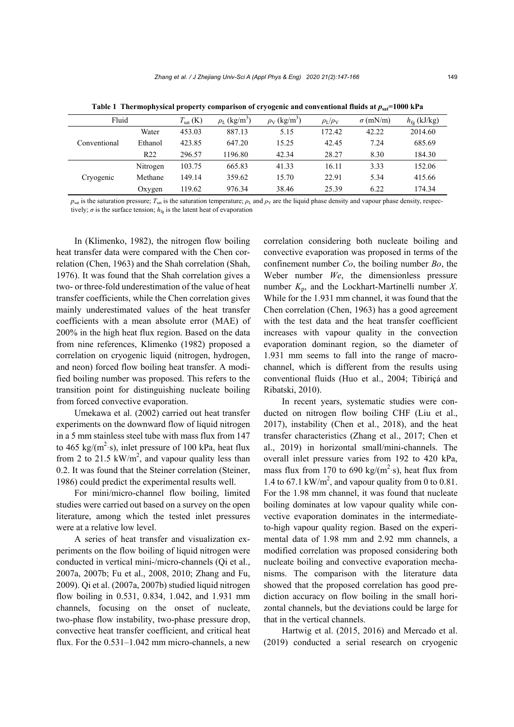| Fluid        |                 | $T_{\text{sat}}\text{ (K)}$ | $\rho_L$ (kg/m <sup>3</sup> ) | $\rho_V$ (kg/m <sup>3</sup> ) | $\rho_{\rm L}/\rho_{\rm V}$ | $\sigma$ (mN/m) | $h_{\text{fg}}$ (kJ/kg) |
|--------------|-----------------|-----------------------------|-------------------------------|-------------------------------|-----------------------------|-----------------|-------------------------|
|              | Water           | 453.03                      | 887.13                        | 5.15                          | 172.42                      | 42.22           | 2014.60                 |
| Conventional | Ethanol         | 423.85                      | 647.20                        | 15.25                         | 42.45                       | 7.24            | 685.69                  |
|              | R <sub>22</sub> | 296.57                      | 1196.80                       | 42.34                         | 28.27                       | 8.30            | 184.30                  |
|              | Nitrogen        | 103.75                      | 665.83                        | 41.33                         | 16.11                       | 3.33            | 152.06                  |
| Cryogenic    | Methane         | 149.14                      | 359.62                        | 15.70                         | 22.91                       | 5.34            | 415.66                  |
|              | Oxygen          | 119.62                      | 976.34                        | 38.46                         | 25.39                       | 6.22            | 174.34                  |

Table 1 Thermophysical property comparison of cryogenic and conventional fluids at  $p_{sat}$ =1000 kPa

 $p_{\text{sat}}$  is the saturation pressure;  $T_{\text{sat}}$  is the saturation temperature;  $\rho_{\text{L}}$  and  $\rho_{\text{V}}$  are the liquid phase density and vapour phase density, respectively;  $\sigma$  is the surface tension;  $h_{fg}$  is the latent heat of evaporation

In (Klimenko, 1982), the nitrogen flow boiling heat transfer data were compared with the Chen correlation (Chen, 1963) and the Shah correlation (Shah, 1976). It was found that the Shah correlation gives a two- or three-fold underestimation of the value of heat transfer coefficients, while the Chen correlation gives mainly underestimated values of the heat transfer coefficients with a mean absolute error (MAE) of 200% in the high heat flux region. Based on the data from nine references, Klimenko (1982) proposed a correlation on cryogenic liquid (nitrogen, hydrogen, and neon) forced flow boiling heat transfer. A modified boiling number was proposed. This refers to the transition point for distinguishing nucleate boiling from forced convective evaporation.

Umekawa et al. (2002) carried out heat transfer experiments on the downward flow of liquid nitrogen in a 5 mm stainless steel tube with mass flux from 147 to 465 kg/ $(m^2 \text{·s})$ , inlet pressure of 100 kPa, heat flux from 2 to 21.5  $kW/m^2$ , and vapour quality less than 0.2. It was found that the Steiner correlation (Steiner, 1986) could predict the experimental results well.

For mini/micro-channel flow boiling, limited studies were carried out based on a survey on the open literature, among which the tested inlet pressures were at a relative low level.

A series of heat transfer and visualization experiments on the flow boiling of liquid nitrogen were conducted in vertical mini-/micro-channels (Qi et al., 2007a, 2007b; Fu et al., 2008, 2010; Zhang and Fu, 2009). Qi et al. (2007a, 2007b) studied liquid nitrogen flow boiling in 0.531, 0.834, 1.042, and 1.931 mm channels, focusing on the onset of nucleate, two-phase flow instability, two-phase pressure drop, convective heat transfer coefficient, and critical heat flux. For the 0.531–1.042 mm micro-channels, a new

correlation considering both nucleate boiling and convective evaporation was proposed in terms of the confinement number *Co*, the boiling number *Bo*, the Weber number *We*, the dimensionless pressure number *K*p, and the Lockhart-Martinelli number *X*. While for the 1.931 mm channel, it was found that the Chen correlation (Chen, 1963) has a good agreement with the test data and the heat transfer coefficient increases with vapour quality in the convection evaporation dominant region, so the diameter of 1.931 mm seems to fall into the range of macrochannel, which is different from the results using conventional fluids (Huo et al., 2004; Tibiriçá and Ribatski, 2010).

In recent years, systematic studies were conducted on nitrogen flow boiling CHF (Liu et al., 2017), instability (Chen et al., 2018), and the heat transfer characteristics (Zhang et al., 2017; Chen et al., 2019) in horizontal small/mini-channels. The overall inlet pressure varies from 192 to 420 kPa, mass flux from 170 to 690 kg/( $m^2$ -s), heat flux from 1.4 to 67.1 kW/m<sup>2</sup>, and vapour quality from 0 to 0.81. For the 1.98 mm channel, it was found that nucleate boiling dominates at low vapour quality while convective evaporation dominates in the intermediateto-high vapour quality region. Based on the experimental data of 1.98 mm and 2.92 mm channels, a modified correlation was proposed considering both nucleate boiling and convective evaporation mechanisms. The comparison with the literature data showed that the proposed correlation has good prediction accuracy on flow boiling in the small horizontal channels, but the deviations could be large for that in the vertical channels.

Hartwig et al. (2015, 2016) and Mercado et al. (2019) conducted a serial research on cryogenic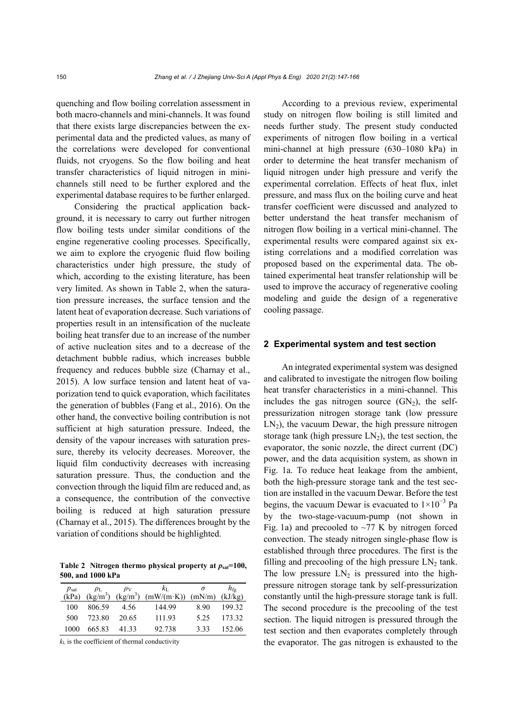quenching and flow boiling correlation assessment in both macro-channels and mini-channels. It was found that there exists large discrepancies between the experimental data and the predicted values, as many of the correlations were developed for conventional fluids, not cryogens. So the flow boiling and heat transfer characteristics of liquid nitrogen in minichannels still need to be further explored and the experimental database requires to be further enlarged.

Considering the practical application background, it is necessary to carry out further nitrogen flow boiling tests under similar conditions of the engine regenerative cooling processes. Specifically, we aim to explore the cryogenic fluid flow boiling characteristics under high pressure, the study of which, according to the existing literature, has been very limited. As shown in Table 2, when the saturation pressure increases, the surface tension and the latent heat of evaporation decrease. Such variations of properties result in an intensification of the nucleate boiling heat transfer due to an increase of the number of active nucleation sites and to a decrease of the detachment bubble radius, which increases bubble frequency and reduces bubble size (Charnay et al., 2015). A low surface tension and latent heat of vaporization tend to quick evaporation, which facilitates the generation of bubbles (Fang et al., 2016). On the other hand, the convective boiling contribution is not sufficient at high saturation pressure. Indeed, the density of the vapour increases with saturation pressure, thereby its velocity decreases. Moreover, the liquid film conductivity decreases with increasing saturation pressure. Thus, the conduction and the convection through the liquid film are reduced and, as a consequence, the contribution of the convective boiling is reduced at high saturation pressure (Charnay et al., 2015). The differences brought by the variation of conditions should be highlighted.

Table 2 Nitrogen thermo physical property at  $p_{sat}$ =100, **500, and 1000 kPa** 

| $p_{\text{sat}}$ | $\rho_{\rm L}$ |       | $k_{\rm L}$                              |                    | $h_{\rm fo}$ |
|------------------|----------------|-------|------------------------------------------|--------------------|--------------|
| (kPa)            |                |       | $(kg/m^3)$ $(kg/m^3)$ $(mW/(m \cdot K))$ | $(mN/m)$ $(kJ/kg)$ |              |
| 100              | 806.59         | 4.56  | 144.99                                   | 8.90               | 199.32       |
| 500              | 723.80         | 20.65 | 111.93                                   | 525                | 173 32       |
| 1000             | 665.83         | 41 33 | 92.738                                   | 333                | 152.06       |

 $k<sub>L</sub>$  is the coefficient of thermal conductivity

According to a previous review, experimental study on nitrogen flow boiling is still limited and needs further study. The present study conducted experiments of nitrogen flow boiling in a vertical mini-channel at high pressure (630–1080 kPa) in order to determine the heat transfer mechanism of liquid nitrogen under high pressure and verify the experimental correlation. Effects of heat flux, inlet pressure, and mass flux on the boiling curve and heat transfer coefficient were discussed and analyzed to better understand the heat transfer mechanism of nitrogen flow boiling in a vertical mini-channel. The experimental results were compared against six existing correlations and a modified correlation was proposed based on the experimental data. The obtained experimental heat transfer relationship will be used to improve the accuracy of regenerative cooling modeling and guide the design of a regenerative cooling passage.

#### **2 Experimental system and test section**

An integrated experimental system was designed and calibrated to investigate the nitrogen flow boiling heat transfer characteristics in a mini-channel. This includes the gas nitrogen source  $(GN_2)$ , the selfpressurization nitrogen storage tank (low pressure  $LN<sub>2</sub>$ ), the vacuum Dewar, the high pressure nitrogen storage tank (high pressure  $LN<sub>2</sub>$ ), the test section, the evaporator, the sonic nozzle, the direct current (DC) power, and the data acquisition system, as shown in Fig. 1a. To reduce heat leakage from the ambient, both the high-pressure storage tank and the test section are installed in the vacuum Dewar. Before the test begins, the vacuum Dewar is evacuated to  $1\times10^{-3}$  Pa by the two-stage-vacuum-pump (not shown in Fig. 1a) and precooled to  $\sim$ 77 K by nitrogen forced convection. The steady nitrogen single-phase flow is established through three procedures. The first is the filling and precooling of the high pressure  $LN<sub>2</sub>$  tank. The low pressure  $LN_2$  is pressured into the highpressure nitrogen storage tank by self-pressurization constantly until the high-pressure storage tank is full. The second procedure is the precooling of the test section. The liquid nitrogen is pressured through the test section and then evaporates completely through the evaporator. The gas nitrogen is exhausted to the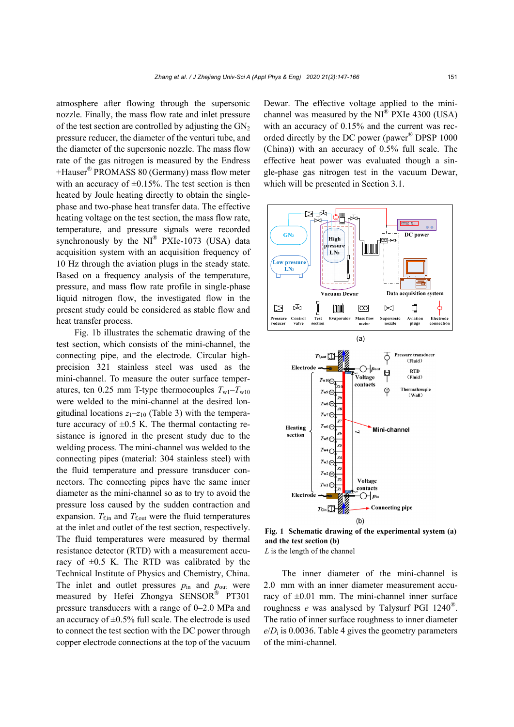atmosphere after flowing through the supersonic nozzle. Finally, the mass flow rate and inlet pressure of the test section are controlled by adjusting the  $GN<sub>2</sub>$ pressure reducer, the diameter of the venturi tube, and the diameter of the supersonic nozzle. The mass flow rate of the gas nitrogen is measured by the Endress +Hauser® PROMASS 80 (Germany) mass flow meter with an accuracy of  $\pm 0.15\%$ . The test section is then heated by Joule heating directly to obtain the singlephase and two-phase heat transfer data. The effective heating voltage on the test section, the mass flow rate, temperature, and pressure signals were recorded synchronously by the  $NI^{\circledast}$  PXIe-1073 (USA) data acquisition system with an acquisition frequency of 10 Hz through the aviation plugs in the steady state. Based on a frequency analysis of the temperature, pressure, and mass flow rate profile in single-phase liquid nitrogen flow, the investigated flow in the present study could be considered as stable flow and heat transfer process.

Fig. 1b illustrates the schematic drawing of the test section, which consists of the mini-channel, the connecting pipe, and the electrode. Circular highprecision 321 stainless steel was used as the mini-channel. To measure the outer surface temperatures, ten 0.25 mm T-type thermocouples  $T_{w1}-T_{w10}$ were welded to the mini-channel at the desired longitudinal locations  $z_1$ – $z_1$ <sup>0</sup> (Table 3) with the temperature accuracy of  $\pm 0.5$  K. The thermal contacting resistance is ignored in the present study due to the welding process. The mini-channel was welded to the connecting pipes (material: 304 stainless steel) with the fluid temperature and pressure transducer connectors. The connecting pipes have the same inner diameter as the mini-channel so as to try to avoid the pressure loss caused by the sudden contraction and expansion.  $T_{\text{f,in}}$  and  $T_{\text{f,out}}$  were the fluid temperatures at the inlet and outlet of the test section, respectively. The fluid temperatures were measured by thermal resistance detector (RTD) with a measurement accuracy of  $\pm 0.5$  K. The RTD was calibrated by the Technical Institute of Physics and Chemistry, China. The inlet and outlet pressures  $p_{in}$  and  $p_{out}$  were measured by Hefei Zhongya SENSOR® PT301 pressure transducers with a range of 0–2.0 MPa and an accuracy of  $\pm 0.5\%$  full scale. The electrode is used to connect the test section with the DC power through copper electrode connections at the top of the vacuum Dewar. The effective voltage applied to the minichannel was measured by the  $NI^{\otimes}$  PXIe 4300 (USA) with an accuracy of  $0.15%$  and the current was recorded directly by the DC power (pawer<sup>®</sup> DPSP 1000 (China)) with an accuracy of 0.5% full scale. The effective heat power was evaluated though a single-phase gas nitrogen test in the vacuum Dewar, which will be presented in Section 3.1.



**Fig. 1 Schematic drawing of the experimental system (a) and the test section (b)**  *L* is the length of the channel

The inner diameter of the mini-channel is 2.0 mm with an inner diameter measurement accuracy of  $\pm 0.01$  mm. The mini-channel inner surface roughness *e* was analysed by Talysurf PGI 1240®. The ratio of inner surface roughness to inner diameter  $e/D_i$  is 0.0036. Table 4 gives the geometry parameters of the mini-channel.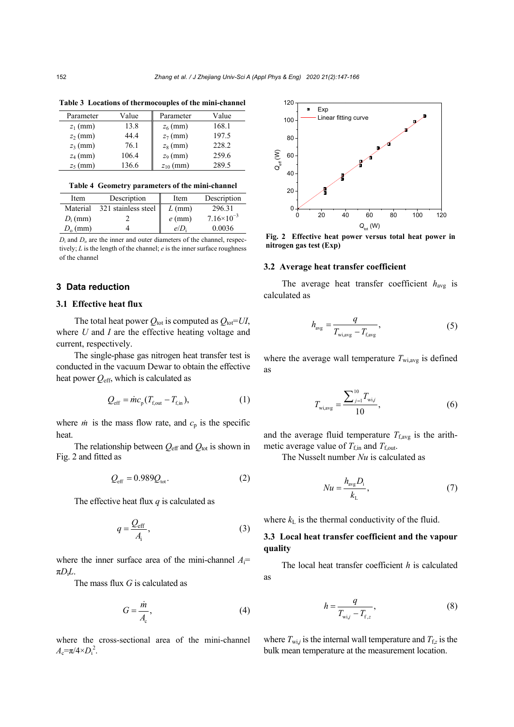| Parameter  | Value | Parameter     | Value |
|------------|-------|---------------|-------|
| $z_1$ (mm) | 13.8  | $z_6$ (mm)    | 168.1 |
| $z_2$ (mm) | 44.4  | $z_7$ (mm)    | 197.5 |
| $z_3$ (mm) | 76.1  | $z_8$ (mm)    | 228.2 |
| $z_4$ (mm) | 106.4 | $z_9$ (mm)    | 259.6 |
| $z_5$ (mm) | 136.6 | $z_{10}$ (mm) | 289.5 |

**Table 3 Locations of thermocouples of the mini-channel** 

**Table 4 Geometry parameters of the mini-channel** 

| Item       | Description         | Item     | Description         |
|------------|---------------------|----------|---------------------|
| Material   | 321 stainless steel | $L$ (mm) | 296.31              |
| $D_i$ (mm) |                     | $e$ (mm) | $7.16\times10^{-3}$ |
| $D_0$ (mm) |                     | e/D      | 0.0036              |
|            |                     |          |                     |

 $D_i$  and  $D_o$  are the inner and outer diameters of the channel, respectively; *L* is the length of the channel; *e* is the inner surface roughness of the channel

# **3 Data reduction**

#### **3.1 Effective heat flux**

The total heat power  $Q_{\text{tot}}$  is computed as  $Q_{\text{tot}} = UI$ , where *U* and *I* are the effective heating voltage and current, respectively.

The single-phase gas nitrogen heat transfer test is conducted in the vacuum Dewar to obtain the effective heat power *Q*eff, which is calculated as

$$
Q_{\rm eff} = \dot{m}c_{\rm p}(T_{\rm f,out} - T_{\rm f,in}), \qquad (1)
$$

where  $\dot{m}$  is the mass flow rate, and  $c_p$  is the specific heat.

The relationship between  $Q_{\text{eff}}$  and  $Q_{\text{tot}}$  is shown in Fig. 2 and fitted as

$$
Q_{\rm eff} = 0.989 Q_{\rm tot}.
$$

The effective heat flux *q* is calculated as

$$
q = \frac{Q_{\text{eff}}}{A_i},\tag{3}
$$

where the inner surface area of the mini-channel  $A_i$ = π*D*i*L*.

The mass flux *G* is calculated as

$$
G = \frac{\dot{m}}{A_{\rm c}},\tag{4}
$$

where the cross-sectional area of the mini-channel  $A_c = \pi/4 \times D_i^2$ .



**Fig. 2 Effective heat power versus total heat power in nitrogen gas test (Exp)**

#### **3.2 Average heat transfer coefficient**

The average heat transfer coefficient  $h_{\text{avg}}$  is calculated as

$$
h_{\text{avg}} = \frac{q}{T_{\text{wi,avg}} - T_{\text{f,avg}}},\tag{5}
$$

where the average wall temperature  $T_{\text{wi,avg}}$  is defined as

$$
T_{\text{wi,avg}} = \frac{\sum_{j=1}^{10} T_{\text{wi},j}}{10},\tag{6}
$$

and the average fluid temperature  $T_{\text{f,avg}}$  is the arithmetic average value of  $T_{\text{f,in}}$  and  $T_{\text{f,out}}$ .

The Nusselt number *Nu* is calculated as

$$
Nu = \frac{h_{\text{avg}}D_{\text{i}}}{k_{\text{L}}},\tag{7}
$$

where  $k<sub>L</sub>$  is the thermal conductivity of the fluid.

# **3.3 Local heat transfer coefficient and the vapour quality**

The local heat transfer coefficient *h* is calculated as

$$
h = \frac{q}{T_{\text{wi},j} - T_{\text{f},z}},\tag{8}
$$

where  $T_{w i,j}$  is the internal wall temperature and  $T_{f,z}$  is the bulk mean temperature at the measurement location.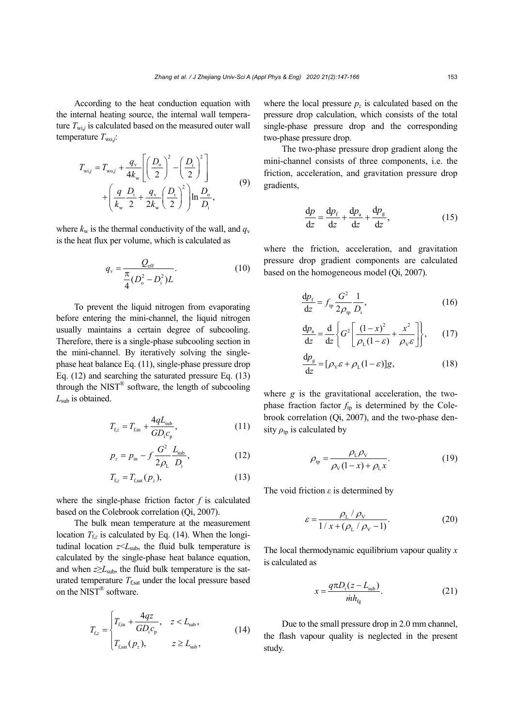According to the heat conduction equation with the internal heating source, the internal wall temperature  $T_{\text{wi},j}$  is calculated based on the measured outer wall temperature  $T_{\text{wo},i}$ :

$$
T_{\text{wi},j} = T_{\text{wo},j} + \frac{q_{\text{v}}}{4k_{\text{w}}} \left[ \left( \frac{D_{\text{o}}}{2} \right)^2 - \left( \frac{D_{\text{i}}}{2} \right)^2 \right] + \left( \frac{q}{k_{\text{w}}} \frac{D_{\text{i}}}{2} + \frac{q_{\text{v}}}{2k_{\text{w}}} \left( \frac{D_{\text{i}}}{2} \right)^2 \right) \ln \frac{D_{\text{o}}}{D_{\text{i}}},\tag{9}
$$

where  $k_w$  is the thermal conductivity of the wall, and  $q_v$ is the heat flux per volume, which is calculated as

$$
q_{\rm v} = \frac{Q_{\rm eff}}{\frac{\pi}{4} (D_{\rm o}^2 - D_{\rm i}^2)L}.
$$
 (10)

To prevent the liquid nitrogen from evaporating before entering the mini-channel, the liquid nitrogen usually maintains a certain degree of subcooling. Therefore, there is a single-phase subcooling section in the mini-channel. By iteratively solving the singlephase heat balance Eq. (11), single-phase pressure drop Eq. (12) and searching the saturated pressure Eq. (13) through the NIST<sup>®</sup> software, the length of subcooling *L*sub is obtained.

$$
T_{\rm f,z} = T_{\rm f,in} + \frac{4qL_{\rm sub}}{GD_{\rm i}c_{\rm p}},\tag{11}
$$

$$
p_z = p_{\rm in} - f \frac{G^2}{2\rho_{\rm L}} \frac{L_{\rm sub}}{D_{\rm i}},\tag{12}
$$

$$
T_{\text{f},z} = T_{\text{f},\text{sat}}(p_z),\tag{13}
$$

where the single-phase friction factor *f* is calculated based on the Colebrook correlation (Qi, 2007).

The bulk mean temperature at the measurement location  $T_{fz}$  is calculated by Eq. (14). When the longitudinal location  $z \leq L_{\text{sub}}$ , the fluid bulk temperature is calculated by the single-phase heat balance equation, and when  $z \geq L_{sub}$ , the fluid bulk temperature is the saturated temperature  $T_{\text{fast}}$  under the local pressure based on the NIST® software.

$$
T_{\rm f,z} = \begin{cases} T_{\rm f,in} + \frac{4qz}{GD_{\rm i}c_{\rm p}}, & z < L_{\rm sub}, \\ T_{\rm f,sat}(p_z), & z \ge L_{\rm sub}, \end{cases}
$$
(14)

where the local pressure  $p_z$  is calculated based on the pressure drop calculation, which consists of the total single-phase pressure drop and the corresponding two-phase pressure drop.

The two-phase pressure drop gradient along the mini-channel consists of three components, i.e. the friction, acceleration, and gravitation pressure drop gradients,

$$
\frac{\mathrm{d}p}{\mathrm{d}z} = \frac{\mathrm{d}p_{\mathrm{f}}}{\mathrm{d}z} + \frac{\mathrm{d}p_{\mathrm{a}}}{\mathrm{d}z} + \frac{\mathrm{d}p_{\mathrm{g}}}{\mathrm{d}z},\tag{15}
$$

where the friction, acceleration, and gravitation pressure drop gradient components are calculated based on the homogeneous model (Qi, 2007).

$$
\frac{\mathrm{d}p_{\mathrm{f}}}{\mathrm{d}z} = f_{\mathrm{tp}} \frac{G^2}{2\rho_{\mathrm{tp}}} \frac{1}{D_{\mathrm{i}}},\tag{16}
$$

$$
\frac{\mathrm{d}p_{\rm a}}{\mathrm{d}z} = \frac{\mathrm{d}}{\mathrm{d}z} \left\{ G^2 \left[ \frac{\left(1 - x\right)^2}{\rho_{\rm L}(1 - \varepsilon)} + \frac{x^2}{\rho_{\rm v}\varepsilon} \right] \right\},\qquad(17)
$$

$$
\frac{dp_g}{dz} = [\rho_v \varepsilon + \rho_L (1 - \varepsilon)]g,\tag{18}
$$

where *g* is the gravitational acceleration, the twophase fraction factor  $f_{\text{tp}}$  is determined by the Colebrook correlation (Qi, 2007), and the two-phase density  $\rho_{\text{tp}}$  is calculated by

$$
\rho_{\text{tp}} = \frac{\rho_{\text{L}} \rho_{\text{V}}}{\rho_{\text{V}} (1 - x) + \rho_{\text{L}} x}.
$$
\n(19)

The void friction *ε* is determined by

$$
\varepsilon = \frac{\rho_{\rm L} / \rho_{\rm V}}{1 / x + (\rho_{\rm L} / \rho_{\rm V} - 1)}.
$$
 (20)

The local thermodynamic equilibrium vapour quality *x* is calculated as

$$
x = \frac{q\pi D_{\rm i}(z - L_{\rm sub})}{\dot{m}h_{\rm fg}}.\tag{21}
$$

Due to the small pressure drop in 2.0 mm channel, the flash vapour quality is neglected in the present study.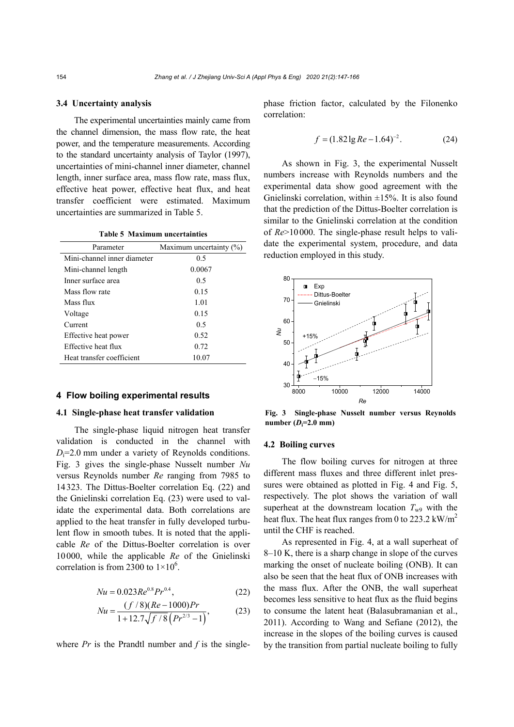#### **3.4 Uncertainty analysis**

The experimental uncertainties mainly came from the channel dimension, the mass flow rate, the heat power, and the temperature measurements. According to the standard uncertainty analysis of Taylor (1997), uncertainties of mini-channel inner diameter, channel length, inner surface area, mass flow rate, mass flux, effective heat power, effective heat flux, and heat transfer coefficient were estimated. Maximum uncertainties are summarized in Table 5.

**Table 5 Maximum uncertainties** 

| Parameter                   | Maximum uncertainty $(\%)$ |
|-----------------------------|----------------------------|
| Mini-channel inner diameter | 0.5                        |
| Mini-channel length         | 0.0067                     |
| Inner surface area          | 0.5                        |
| Mass flow rate              | 0.15                       |
| Mass flux                   | 1.01                       |
| Voltage                     | 0.15                       |
| Current                     | 0.5                        |
| Effective heat power        | 0.52                       |
| Effective heat flux         | 0.72                       |
| Heat transfer coefficient   | 10.07                      |

#### **4 Flow boiling experimental results**

## **4.1 Single-phase heat transfer validation**

The single-phase liquid nitrogen heat transfer validation is conducted in the channel with  $D_i=2.0$  mm under a variety of Reynolds conditions. Fig. 3 gives the single-phase Nusselt number *Nu* versus Reynolds number *Re* ranging from 7985 to 14323. The Dittus-Boelter correlation Eq. (22) and the Gnielinski correlation Eq. (23) were used to validate the experimental data. Both correlations are applied to the heat transfer in fully developed turbulent flow in smooth tubes. It is noted that the applicable *Re* of the Dittus-Boelter correlation is over 10000, while the applicable *Re* of the Gnielinski correlation is from 2300 to  $1 \times 10^6$ .

$$
Nu = 0.023Re0.8Pr0.4,
$$
 (22)

$$
Nu = \frac{(f/8)(Re - 1000)Pr}{1 + 12.7\sqrt{f/8}\left(Pr^{2/3} - 1\right)},
$$
 (23)

where  $Pr$  is the Prandtl number and  $f$  is the single-

phase friction factor, calculated by the Filonenko correlation:

$$
f = (1.82 \lg Re - 1.64)^{-2}.
$$
 (24)

As shown in Fig. 3, the experimental Nusselt numbers increase with Reynolds numbers and the experimental data show good agreement with the Gnielinski correlation, within  $\pm 15\%$ . It is also found that the prediction of the Dittus-Boelter correlation is similar to the Gnielinski correlation at the condition of *Re*>10000. The single-phase result helps to validate the experimental system, procedure, and data reduction employed in this study.



**Fig. 3 Single-phase Nusselt number versus Reynolds**   $number (D_i=2.0 \text{ mm})$ 

#### **4.2 Boiling curves**

The flow boiling curves for nitrogen at three different mass fluxes and three different inlet pressures were obtained as plotted in Fig. 4 and Fig. 5, respectively. The plot shows the variation of wall superheat at the downstream location  $T_{w9}$  with the heat flux. The heat flux ranges from 0 to 223.2  $\text{kW/m}^2$ until the CHF is reached.

As represented in Fig. 4, at a wall superheat of 8–10 K, there is a sharp change in slope of the curves marking the onset of nucleate boiling (ONB). It can also be seen that the heat flux of ONB increases with the mass flux. After the ONB, the wall superheat becomes less sensitive to heat flux as the fluid begins to consume the latent heat (Balasubramanian et al., 2011). According to Wang and Sefiane (2012), the increase in the slopes of the boiling curves is caused by the transition from partial nucleate boiling to fully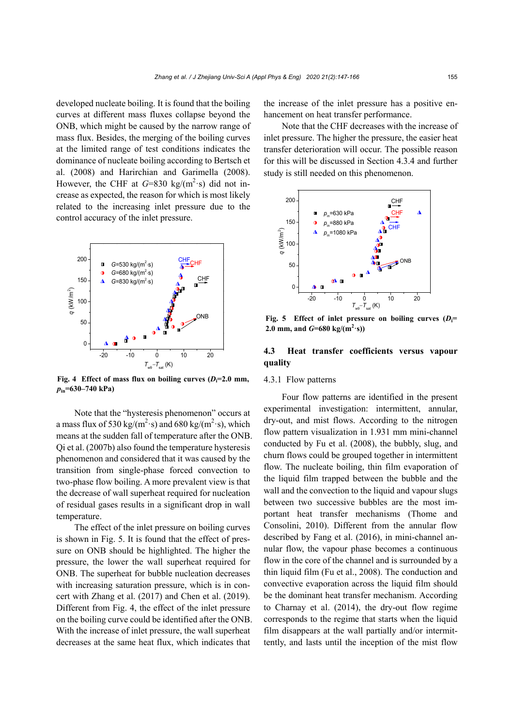developed nucleate boiling. It is found that the boiling curves at different mass fluxes collapse beyond the ONB, which might be caused by the narrow range of mass flux. Besides, the merging of the boiling curves at the limited range of test conditions indicates the dominance of nucleate boiling according to Bertsch et al. (2008) and Harirchian and Garimella (2008). However, the CHF at  $G=830 \text{ kg/(m}^2 \text{·s)}$  did not increase as expected, the reason for which is most likely related to the increasing inlet pressure due to the control accuracy of the inlet pressure.



**Fig. 4** Effect of mass flux on boiling curves  $(D_i=2.0 \text{ mm})$ , *p***in=630–740 kPa)** 

Note that the "hysteresis phenomenon" occurs at a mass flux of 530 kg/( $m^2$ ·s) and 680 kg/( $m^2$ ·s), which means at the sudden fall of temperature after the ONB. Qi et al. (2007b) also found the temperature hysteresis phenomenon and considered that it was caused by the transition from single-phase forced convection to two-phase flow boiling. A more prevalent view is that the decrease of wall superheat required for nucleation of residual gases results in a significant drop in wall temperature.

The effect of the inlet pressure on boiling curves is shown in Fig. 5. It is found that the effect of pressure on ONB should be highlighted. The higher the pressure, the lower the wall superheat required for ONB. The superheat for bubble nucleation decreases with increasing saturation pressure, which is in concert with Zhang et al. (2017) and Chen et al. (2019). Different from Fig. 4, the effect of the inlet pressure on the boiling curve could be identified after the ONB. With the increase of inlet pressure, the wall superheat decreases at the same heat flux, which indicates that

the increase of the inlet pressure has a positive enhancement on heat transfer performance.

Note that the CHF decreases with the increase of inlet pressure. The higher the pressure, the easier heat transfer deterioration will occur. The possible reason for this will be discussed in Section 4.3.4 and further study is still needed on this phenomenon.



**Fig. 5** Effect of inlet pressure on boiling curves  $(D_i=$ 2.0 mm, and  $G=680 \text{ kg/(m}^2 \cdot \text{s)})$ 

# **4.3 Heat transfer coefficients versus vapour quality**

#### 4.3.1 Flow patterns

Four flow patterns are identified in the present experimental investigation: intermittent, annular, dry-out, and mist flows. According to the nitrogen flow pattern visualization in 1.931 mm mini-channel conducted by Fu et al. (2008), the bubbly, slug, and churn flows could be grouped together in intermittent flow. The nucleate boiling, thin film evaporation of the liquid film trapped between the bubble and the wall and the convection to the liquid and vapour slugs between two successive bubbles are the most important heat transfer mechanisms (Thome and Consolini, 2010). Different from the annular flow described by Fang et al. (2016), in mini-channel annular flow, the vapour phase becomes a continuous flow in the core of the channel and is surrounded by a thin liquid film (Fu et al., 2008). The conduction and convective evaporation across the liquid film should be the dominant heat transfer mechanism. According to Charnay et al. (2014), the dry-out flow regime corresponds to the regime that starts when the liquid film disappears at the wall partially and/or intermittently, and lasts until the inception of the mist flow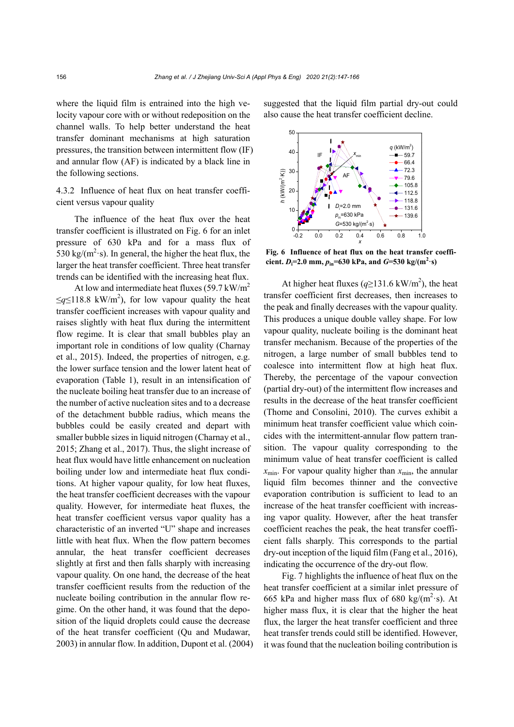where the liquid film is entrained into the high velocity vapour core with or without redeposition on the channel walls. To help better understand the heat transfer dominant mechanisms at high saturation pressures, the transition between intermittent flow (IF) and annular flow (AF) is indicated by a black line in the following sections.

4.3.2 Influence of heat flux on heat transfer coefficient versus vapour quality

The influence of the heat flux over the heat transfer coefficient is illustrated on Fig. 6 for an inlet pressure of 630 kPa and for a mass flux of 530 kg/( $m^2$ ·s). In general, the higher the heat flux, the larger the heat transfer coefficient. Three heat transfer trends can be identified with the increasing heat flux.

At low and intermediate heat fluxes (59.7 kW/m<sup>2</sup>)  $\leq q \leq 118.8$  kW/m<sup>2</sup>), for low vapour quality the heat transfer coefficient increases with vapour quality and raises slightly with heat flux during the intermittent flow regime. It is clear that small bubbles play an important role in conditions of low quality (Charnay et al., 2015). Indeed, the properties of nitrogen, e.g. the lower surface tension and the lower latent heat of evaporation (Table 1), result in an intensification of the nucleate boiling heat transfer due to an increase of the number of active nucleation sites and to a decrease of the detachment bubble radius, which means the bubbles could be easily created and depart with smaller bubble sizes in liquid nitrogen (Charnay et al., 2015; Zhang et al., 2017). Thus, the slight increase of heat flux would have little enhancement on nucleation boiling under low and intermediate heat flux conditions. At higher vapour quality, for low heat fluxes, the heat transfer coefficient decreases with the vapour quality. However, for intermediate heat fluxes, the heat transfer coefficient versus vapor quality has a characteristic of an inverted "U" shape and increases little with heat flux. When the flow pattern becomes annular, the heat transfer coefficient decreases slightly at first and then falls sharply with increasing vapour quality. On one hand, the decrease of the heat transfer coefficient results from the reduction of the nucleate boiling contribution in the annular flow regime. On the other hand, it was found that the deposition of the liquid droplets could cause the decrease of the heat transfer coefficient (Qu and Mudawar, 2003) in annular flow. In addition, Dupont et al. (2004) suggested that the liquid film partial dry-out could also cause the heat transfer coefficient decline.



**Fig. 6 Influence of heat flux on the heat transfer coefficient.**  $D_i = 2.0 \text{ mm}, p_{in} = 630 \text{ kPa}, \text{ and } G = 530 \text{ kg/(m}^2 \cdot \text{s)}$ 

At higher heat fluxes  $(q \ge 131.6 \text{ kW/m}^2)$ , the heat transfer coefficient first decreases, then increases to the peak and finally decreases with the vapour quality. This produces a unique double valley shape. For low vapour quality, nucleate boiling is the dominant heat transfer mechanism. Because of the properties of the nitrogen, a large number of small bubbles tend to coalesce into intermittent flow at high heat flux. Thereby, the percentage of the vapour convection (partial dry-out) of the intermittent flow increases and results in the decrease of the heat transfer coefficient (Thome and Consolini, 2010). The curves exhibit a minimum heat transfer coefficient value which coincides with the intermittent-annular flow pattern transition. The vapour quality corresponding to the minimum value of heat transfer coefficient is called  $x_{\text{min}}$ . For vapour quality higher than  $x_{\text{min}}$ , the annular liquid film becomes thinner and the convective evaporation contribution is sufficient to lead to an increase of the heat transfer coefficient with increasing vapor quality. However, after the heat transfer coefficient reaches the peak, the heat transfer coefficient falls sharply. This corresponds to the partial dry-out inception of the liquid film (Fang et al., 2016), indicating the occurrence of the dry-out flow.

Fig. 7 highlights the influence of heat flux on the heat transfer coefficient at a similar inlet pressure of 665 kPa and higher mass flux of 680 kg/( $m^2$ ·s). At higher mass flux, it is clear that the higher the heat flux, the larger the heat transfer coefficient and three heat transfer trends could still be identified. However, it was found that the nucleation boiling contribution is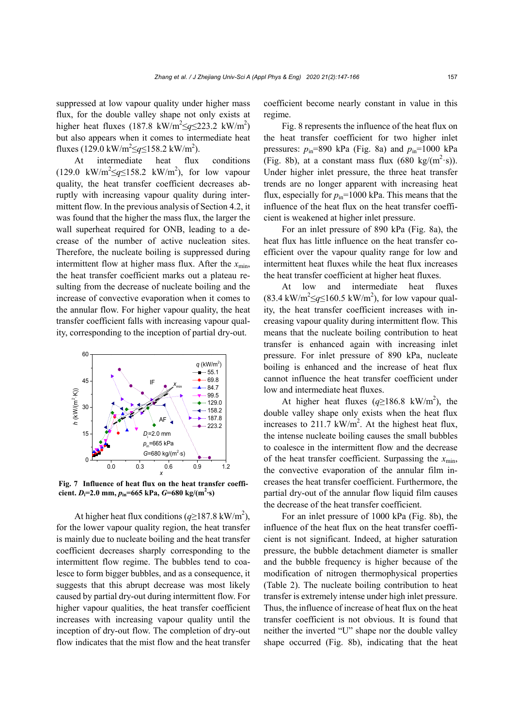suppressed at low vapour quality under higher mass flux, for the double valley shape not only exists at higher heat fluxes (187.8 kW/m<sup>2</sup> $\leq q \leq 223.2$  kW/m<sup>2</sup>) but also appears when it comes to intermediate heat fluxes (129.0 kW/m<sup>2</sup> $\leq q \leq 158.2$  kW/m<sup>2</sup>).

At intermediate heat flux conditions  $(129.0 \text{ kW/m}^2 \leq q \leq 158.2 \text{ kW/m}^2)$ , for low vapour quality, the heat transfer coefficient decreases abruptly with increasing vapour quality during intermittent flow. In the previous analysis of Section 4.2, it was found that the higher the mass flux, the larger the wall superheat required for ONB, leading to a decrease of the number of active nucleation sites. Therefore, the nucleate boiling is suppressed during intermittent flow at higher mass flux. After the  $x_{\text{min}}$ , the heat transfer coefficient marks out a plateau resulting from the decrease of nucleate boiling and the increase of convective evaporation when it comes to the annular flow. For higher vapour quality, the heat transfer coefficient falls with increasing vapour quality, corresponding to the inception of partial dry-out.



**Fig. 7 Influence of heat flux on the heat transfer coefficient.** *D***i=2.0 mm,** *p***in=665 kPa,** *G***=680 kg/(m2 ·s)**

At higher heat flux conditions  $(q \ge 187.8 \text{ kW/m}^2)$ , for the lower vapour quality region, the heat transfer is mainly due to nucleate boiling and the heat transfer coefficient decreases sharply corresponding to the intermittent flow regime. The bubbles tend to coalesce to form bigger bubbles, and as a consequence, it suggests that this abrupt decrease was most likely caused by partial dry-out during intermittent flow. For higher vapour qualities, the heat transfer coefficient increases with increasing vapour quality until the inception of dry-out flow. The completion of dry-out flow indicates that the mist flow and the heat transfer

coefficient become nearly constant in value in this regime.

Fig. 8 represents the influence of the heat flux on the heat transfer coefficient for two higher inlet pressures:  $p_{in}$ =890 kPa (Fig. 8a) and  $p_{in}$ =1000 kPa (Fig. 8b), at a constant mass flux  $(680 \text{ kg/(m}^2 \cdot \text{s}))$ . Under higher inlet pressure, the three heat transfer trends are no longer apparent with increasing heat flux, especially for  $p_{in}$ =1000 kPa. This means that the influence of the heat flux on the heat transfer coefficient is weakened at higher inlet pressure.

For an inlet pressure of 890 kPa (Fig. 8a), the heat flux has little influence on the heat transfer coefficient over the vapour quality range for low and intermittent heat fluxes while the heat flux increases the heat transfer coefficient at higher heat fluxes.

At low and intermediate heat fluxes  $(83.4 \text{ kW/m}^2 \leq q \leq 160.5 \text{ kW/m}^2)$ , for low vapour quality, the heat transfer coefficient increases with increasing vapour quality during intermittent flow. This means that the nucleate boiling contribution to heat transfer is enhanced again with increasing inlet pressure. For inlet pressure of 890 kPa, nucleate boiling is enhanced and the increase of heat flux cannot influence the heat transfer coefficient under low and intermediate heat fluxes.

At higher heat fluxes  $(q \ge 186.8 \text{ kW/m}^2)$ , the double valley shape only exists when the heat flux increases to 211.7  $kW/m<sup>2</sup>$ . At the highest heat flux, the intense nucleate boiling causes the small bubbles to coalesce in the intermittent flow and the decrease of the heat transfer coefficient. Surpassing the  $x_{\text{min}}$ , the convective evaporation of the annular film increases the heat transfer coefficient. Furthermore, the partial dry-out of the annular flow liquid film causes the decrease of the heat transfer coefficient.

For an inlet pressure of 1000 kPa (Fig. 8b), the influence of the heat flux on the heat transfer coefficient is not significant. Indeed, at higher saturation pressure, the bubble detachment diameter is smaller and the bubble frequency is higher because of the modification of nitrogen thermophysical properties (Table 2). The nucleate boiling contribution to heat transfer is extremely intense under high inlet pressure. Thus, the influence of increase of heat flux on the heat transfer coefficient is not obvious. It is found that neither the inverted "U" shape nor the double valley shape occurred (Fig. 8b), indicating that the heat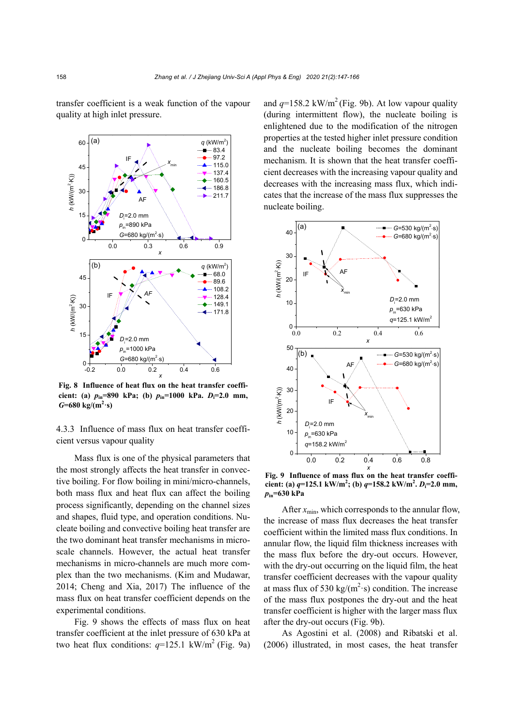transfer coefficient is a weak function of the vapour quality at high inlet pressure.



**Fig. 8 Influence of heat flux on the heat transfer coefficient: (a)** *p***in=890 kPa; (b)** *p***in=1000 kPa.** *D***i=2.0 mm,**  $G=680 \text{ kg/(m}^2 \cdot \text{s)}$ 

4.3.3 Influence of mass flux on heat transfer coefficient versus vapour quality

Mass flux is one of the physical parameters that the most strongly affects the heat transfer in convective boiling. For flow boiling in mini/micro-channels, both mass flux and heat flux can affect the boiling process significantly, depending on the channel sizes and shapes, fluid type, and operation conditions. Nucleate boiling and convective boiling heat transfer are the two dominant heat transfer mechanisms in microscale channels. However, the actual heat transfer mechanisms in micro-channels are much more complex than the two mechanisms. (Kim and Mudawar, 2014; Cheng and Xia, 2017) The influence of the mass flux on heat transfer coefficient depends on the experimental conditions.

Fig. 9 shows the effects of mass flux on heat transfer coefficient at the inlet pressure of 630 kPa at two heat flux conditions:  $q=125.1 \text{ kW/m}^2$  (Fig. 9a) and  $q=158.2 \text{ kW/m}^2$  (Fig. 9b). At low vapour quality (during intermittent flow), the nucleate boiling is enlightened due to the modification of the nitrogen properties at the tested higher inlet pressure condition and the nucleate boiling becomes the dominant mechanism. It is shown that the heat transfer coefficient decreases with the increasing vapour quality and decreases with the increasing mass flux, which indicates that the increase of the mass flux suppresses the nucleate boiling.



**Fig. 9 Influence of mass flux on the heat transfer coefficient:** (a)  $q=125.1 \text{ kW/m}^2$ ; (b)  $q=158.2 \text{ kW/m}^2$ .  $D_i=2.0 \text{ mm}$ , *p***in=630 kPa** 

After  $x_{\text{min}}$ , which corresponds to the annular flow, the increase of mass flux decreases the heat transfer coefficient within the limited mass flux conditions. In annular flow, the liquid film thickness increases with the mass flux before the dry-out occurs. However, with the dry-out occurring on the liquid film, the heat transfer coefficient decreases with the vapour quality at mass flux of 530 kg/( $m^2$ ·s) condition. The increase of the mass flux postpones the dry-out and the heat transfer coefficient is higher with the larger mass flux after the dry-out occurs (Fig. 9b).

As Agostini et al. (2008) and Ribatski et al. (2006) illustrated, in most cases, the heat transfer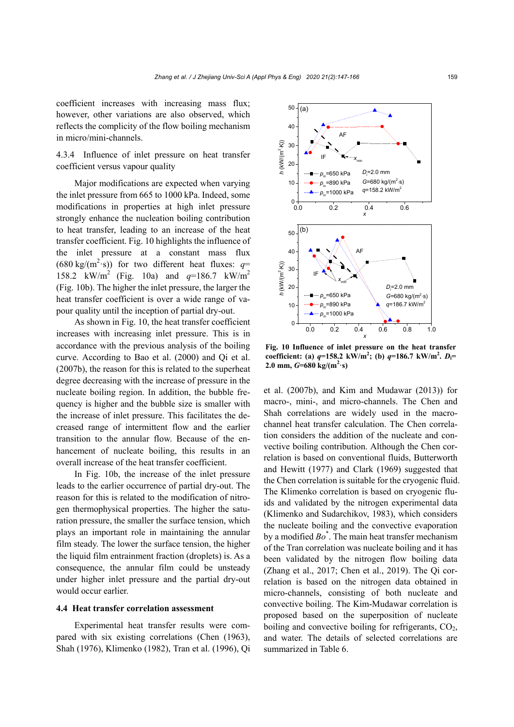coefficient increases with increasing mass flux; however, other variations are also observed, which reflects the complicity of the flow boiling mechanism in micro/mini-channels.

4.3.4 Influence of inlet pressure on heat transfer coefficient versus vapour quality

Major modifications are expected when varying the inlet pressure from 665 to 1000 kPa. Indeed, some modifications in properties at high inlet pressure strongly enhance the nucleation boiling contribution to heat transfer, leading to an increase of the heat transfer coefficient. Fig. 10 highlights the influence of the inlet pressure at a constant mass flux  $(680 \text{ kg/(m}^2 \cdot \text{s}))$  for two different heat fluxes:  $q=$ 158.2 kW/m<sup>2</sup> (Fig. 10a) and  $q=186.7$  kW/m<sup>2</sup> (Fig. 10b). The higher the inlet pressure, the larger the heat transfer coefficient is over a wide range of vapour quality until the inception of partial dry-out.

As shown in Fig. 10, the heat transfer coefficient increases with increasing inlet pressure. This is in accordance with the previous analysis of the boiling curve. According to Bao et al. (2000) and Qi et al. (2007b), the reason for this is related to the superheat degree decreasing with the increase of pressure in the nucleate boiling region. In addition, the bubble frequency is higher and the bubble size is smaller with the increase of inlet pressure. This facilitates the decreased range of intermittent flow and the earlier transition to the annular flow. Because of the enhancement of nucleate boiling, this results in an overall increase of the heat transfer coefficient.

In Fig. 10b, the increase of the inlet pressure leads to the earlier occurrence of partial dry-out. The reason for this is related to the modification of nitrogen thermophysical properties. The higher the saturation pressure, the smaller the surface tension, which plays an important role in maintaining the annular film steady. The lower the surface tension, the higher the liquid film entrainment fraction (droplets) is. As a consequence, the annular film could be unsteady under higher inlet pressure and the partial dry-out would occur earlier.

# **4.4 Heat transfer correlation assessment**

Experimental heat transfer results were compared with six existing correlations (Chen (1963), Shah (1976), Klimenko (1982), Tran et al. (1996), Qi



**Fig. 10 Influence of inlet pressure on the heat transfer coefficient:** (a)  $q=158.2 \text{ kW/m}^2$ ; (b)  $q=186.7 \text{ kW/m}^2$ .  $D_i=$  $2.0 \text{ mm}, G = 680 \text{ kg/(m}^2 \cdot \text{s)}$ 

et al. (2007b), and Kim and Mudawar (2013)) for macro-, mini-, and micro-channels. The Chen and Shah correlations are widely used in the macrochannel heat transfer calculation. The Chen correlation considers the addition of the nucleate and convective boiling contribution. Although the Chen correlation is based on conventional fluids, Butterworth and Hewitt (1977) and Clark (1969) suggested that the Chen correlation is suitable for the cryogenic fluid. The Klimenko correlation is based on cryogenic fluids and validated by the nitrogen experimental data (Klimenko and Sudarchikov, 1983), which considers the nucleate boiling and the convective evaporation by a modified *Bo*\* . The main heat transfer mechanism of the Tran correlation was nucleate boiling and it has been validated by the nitrogen flow boiling data (Zhang et al., 2017; Chen et al., 2019). The Qi correlation is based on the nitrogen data obtained in micro-channels, consisting of both nucleate and convective boiling. The Kim-Mudawar correlation is proposed based on the superposition of nucleate boiling and convective boiling for refrigerants,  $CO<sub>2</sub>$ , and water. The details of selected correlations are summarized in Table 6.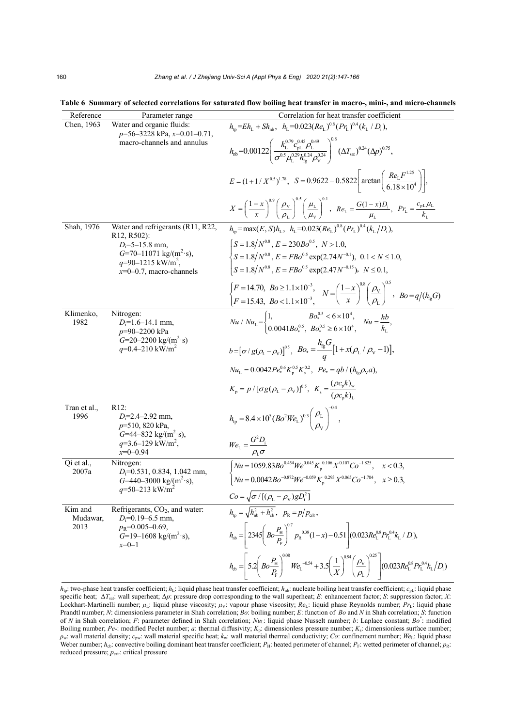| Reference            | Parameter range                                                                                                           | Correlation for heat transfer coefficient                                                                                                                                                                                                                                    |
|----------------------|---------------------------------------------------------------------------------------------------------------------------|------------------------------------------------------------------------------------------------------------------------------------------------------------------------------------------------------------------------------------------------------------------------------|
| Chen, 1963           | Water and organic fluids:<br>$p=56-3228$ kPa, $x=0.01-0.71$ ,                                                             | $h_{\rm in} = Eh_{\rm L} + Sh_{\rm nh}$ , $h_{\rm L} = 0.023(Re_{\rm L})^{0.8} (Pr_{\rm L})^{0.4} (k_{\rm L}/D_{\rm L}),$                                                                                                                                                    |
|                      | macro-channels and annulus                                                                                                | $h_{\rm nb} = 0.00122 \left( \frac{k_{\rm L}^{0.79} c_{\rm pL}^{0.45} \rho_{\rm L}^{0.49}}{\sigma^{0.5} \mu_{\rm s}^{0.23} h_{\rm cs}^{0.24} \rho_{\rm v}^{0.24}} \right)^{\nu \circ} (\Delta T_{\rm sat})^{0.24} (\Delta p)^{0.75},$                                        |
|                      |                                                                                                                           | $E = (1 + 1 / X^{0.5})^{1.78}$ , $S = 0.9622 - 0.5822 \left[ \arctan \left( \frac{Re_L F^{1.25}}{6.18 \times 10^4} \right) \right],$                                                                                                                                         |
|                      |                                                                                                                           | $X = \left(\frac{1-x}{x}\right)^{0.9} \left(\frac{\rho_{\rm v}}{\rho_{\rm r}}\right)^{0.9} \left(\frac{\mu_{\rm L}}{\mu_{\rm v}}\right)^{0.9}$ , $Re_{\rm L} = \frac{G(1-x)D_{\rm i}}{\mu_{\rm i}}, \quad Pr_{\rm L} = \frac{c_{\rm pL}\mu_{\rm L}}{k_{\rm L}}$              |
| Shah, 1976           | Water and refrigerants (R11, R22,<br>R <sub>12</sub> , R <sub>502</sub> ):                                                | $h_{\rm m}$ = max(E, S) $h_{\rm L}$ , $h_{\rm L}$ = 0.023(Re <sub>t</sub> ) <sup>0.8</sup> (Pr <sub>t</sub> ) <sup>0.4</sup> (k <sub>t</sub> /D <sub>i</sub> ).                                                                                                              |
|                      | $D_i = 5 - 15.8$ mm,                                                                                                      | $\left(S=1.8/N^{0.8}\right), E=230Bo^{0.5}\right), N>1.0,$                                                                                                                                                                                                                   |
|                      | $G=70-11071$ kg/(m <sup>2</sup> ·s),<br>$q=90-1215$ kW/m <sup>2</sup> ,                                                   | $\left\{ S = 1.8/N^{0.8}, E = FBo^{0.5} \exp(2.74N^{-0.1}), 0.1 < N \le 1.0, \right\}$                                                                                                                                                                                       |
|                      | $x=0-0.7$ , macro-channels                                                                                                | $S = 1.8/N^{0.8}$ , $E = FBo^{0.5}$ exp(2.47N <sup>-0.15</sup> ), $N \le 0.1$ ,                                                                                                                                                                                              |
|                      |                                                                                                                           |                                                                                                                                                                                                                                                                              |
|                      |                                                                                                                           | $\begin{cases} F = 14.70, & B_o \geq 1.1 \times 10^{-3}, \\ F = 15.43, & B_o < 1.1 \times 10^{-3}, \end{cases} \quad N = \left(\frac{1-x}{x}\right)^{0.8} \left(\frac{\rho_v}{\rho_L}\right)^{0.5}, \quad B_o = q/(h_{fg}G)$                                                 |
| Klimenko,<br>1982    | Nitrogen:<br>$D_i=1.6-14.1$ mm,<br>$p=90-2200$ kPa<br>$G=20-2200$ kg/(m <sup>2</sup> ·s)<br>$q=0.4-210$ kW/m <sup>2</sup> | $Nu / Nu_{\rm L} = \begin{cases} 1, & Bo^{0.5}_* < 6 \times 10^4, \\ 0.0041Bo^{0.5}_* & Bo^{0.5}_* \ge 6 \times 10^4 \end{cases} \quad Nu = \frac{hb}{k}.$                                                                                                                   |
|                      |                                                                                                                           | $b = [\sigma / g(\rho_L - \rho_V)]^{0.5}$ , $Bo_* = \frac{h_{\text{bg}}G}{g} [1 + x(\rho_L / \rho_V - 1)],$                                                                                                                                                                  |
|                      |                                                                                                                           | $Nu_{L} = 0.0042 Pe_{*}^{0.6} K_{n}^{0.5} K_{s}^{0.2}, Pe_{*} = qb / (h_{f_{0}} \rho_{V} a),$                                                                                                                                                                                |
|                      |                                                                                                                           | $K_{\rm p} = p / [\sigma g (\rho_{\rm L} - \rho_{\rm V})]^{0.5}$ , $K_{\rm s} = \frac{(\rho c_{\rm p} K)_{\rm w}}{(\rho c_{\rm s} k)_{\rm s}}$                                                                                                                               |
| Tran et al.,<br>1996 | R12:<br>$D_i=2.4-2.92$ mm,<br>$p=510, 820$ kPa,                                                                           | $h_{\text{tp}} = 8.4 \times 10^5 (Bo^2 W e_L)^{0.3} \left(\frac{\rho_L}{\rho}\right)^{0.4}$                                                                                                                                                                                  |
|                      | $G=44-832$ kg/(m <sup>2</sup> ·s),<br>$q=3.6-129$ kW/m <sup>2</sup> ,<br>$x=0-0.94$                                       | $We_{\rm L} = \frac{G^2 D_{\rm i}}{\rho_{\rm L} \sigma}$                                                                                                                                                                                                                     |
| Qi et al.,<br>2007a  | Nitrogen:<br>$D_i$ =0.531, 0.834, 1.042 mm,                                                                               |                                                                                                                                                                                                                                                                              |
|                      | $G=440-3000$ kg/(m <sup>2</sup> ·s),                                                                                      | $\sqrt{\frac{Nu}{Nu=1059.83Bo^{0.454}We^{0.045}K_p^{0.106}X^{0.107}Co^{-1.825}}$ , $x < 0.3$ ,<br>$Nu = 0.0042Bo^{-0.872}We^{-0.059}K_p^{0.293}X^{0.065}Co^{-1.704}$ , $x \ge 0.3$ ,                                                                                         |
|                      | $q=50-213$ kW/m <sup>2</sup>                                                                                              | $Co = \sqrt{\sigma / [(\rho_L - \rho_v)gD_i^2]}$                                                                                                                                                                                                                             |
| Kim and              | Refrigerants, $CO2$ , and water:                                                                                          | $h_{\rm th} = \sqrt{h_{\rm nb}^2 + h_{\rm cb}^2}$ , $p_{\rm R} = p/p_{\rm crit}$ ,                                                                                                                                                                                           |
| Mudawar,<br>2013     | $D_i=0.19-6.5$ mm,<br>$p_R$ =0.005-0.69,<br>$G=19-1608$ kg/(m <sup>2</sup> ·s),<br>$x=0-1$                                | $h_{\text{nb}} = 2345 \left( Bo \frac{P_{\text{H}}}{P_{\text{F}}} \right)^{0.7} p_{\text{R}}^{0.38} (1 - x) - 0.51 \left( 0.023 Re_{\text{L}}^{0.8} Pr_{\text{L}}^{0.4} k_{\text{L}} / D_{\text{i}} \right),$                                                                |
|                      |                                                                                                                           | $h_{\text{cb}} = 5.2 \left( Bo \frac{P_{\text{H}}}{P_{\text{F}}} \right)^{0.08} We_{\text{L}}^{-0.54} + 3.5 \left( \frac{1}{X} \right)^{0.94} \left( \frac{\rho_{\text{V}}}{\rho_{\text{L}}} \right)^{0.25}$<br>$(0.023Re_{\rm L}^{0.8}Pr_{\rm L}^{0.4}k_{\rm L}/D_{\rm i})$ |

**Table 6 Summary of selected correlations for saturated flow boiling heat transfer in macro-, mini-, and micro-channels** 

 $h_{\text{lb}}$ : two-phase heat transfer coefficient;  $h_{\text{L}}$ : liquid phase heat transfer coefficient;  $h_{\text{lb}}$ : nucleate boiling heat transfer coefficient;  $c_{\text{bL}}$ : liquid phase specific heat; Δ*T*sat: wall superheat; Δ*p*: pressure drop corresponding to the wall superheat; *E*: enhancement factor; *S*: suppression factor; *X*: Lockhart-Martinelli number; *μ*<sub>L</sub>: liquid phase viscosity; *μ<sub>V</sub>*: vapour phase viscosity; *Re*<sub>L</sub>: liquid phase Reynolds number; *Pr*<sub>L</sub>: liquid phase Prandtl number; *N*: dimensionless parameter in Shah correlation; *Bo*: boiling number; *E*: function of *Bo* and *N* in Shah correlation; *S*: function of *N* in Shah correlation; *F*: parameter defined in Shah correlation; *Nu*<sub>L</sub>: liquid phase Nusselt number; *b*: Laplace constant; *Bo*<sup>\*</sup>: modified Boiling number; *Pe*\*: modified Peclet number; *a*: thermal diffusivity; *K*<sub>p</sub>: dimensionless pressure number; *K*<sub>s</sub>: dimensionless surface number; *Pe\**: modified Peclet number; *a*: thermal diffusivity; *K*<sub>p</sub>: dimensi *ρ*w: wall material density; *c*pw: wall material specific heat; *k*w: wall material thermal conductivity; *Co*: confinement number; *We*L: liquid phase Weber number;  $h_{cb}$ : convective boiling dominant heat transfer coefficient;  $P_{H}$ : heated perimeter of channel;  $p_{F}$ : wetted perimeter of channel;  $p_{R}$ : reduced pressure;  $p_{\text{crit}}$ : critical pressure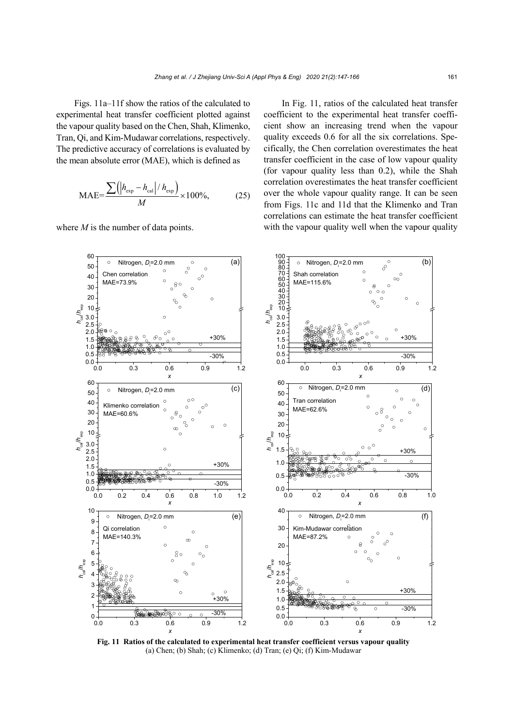Figs. 11a–11f show the ratios of the calculated to experimental heat transfer coefficient plotted against the vapour quality based on the Chen, Shah, Klimenko, Tran, Qi, and Kim-Mudawar correlations, respectively. The predictive accuracy of correlations is evaluated by the mean absolute error (MAE), which is defined as

$$
MAE = \frac{\sum (|h_{\text{exp}} - h_{\text{cal}}| / h_{\text{exp}})}{M} \times 100\%,
$$
 (25)

where *M* is the number of data points.

In Fig. 11, ratios of the calculated heat transfer coefficient to the experimental heat transfer coefficient show an increasing trend when the vapour quality exceeds 0.6 for all the six correlations. Specifically, the Chen correlation overestimates the heat transfer coefficient in the case of low vapour quality (for vapour quality less than 0.2), while the Shah correlation overestimates the heat transfer coefficient over the whole vapour quality range. It can be seen from Figs. 11c and 11d that the Klimenko and Tran correlations can estimate the heat transfer coefficient with the vapour quality well when the vapour quality



**Fig. 11 Ratios of the calculated to experimental heat transfer coefficient versus vapour quality**  (a) Chen; (b) Shah; (c) Klimenko; (d) Tran; (e) Qi; (f) Kim-Mudawar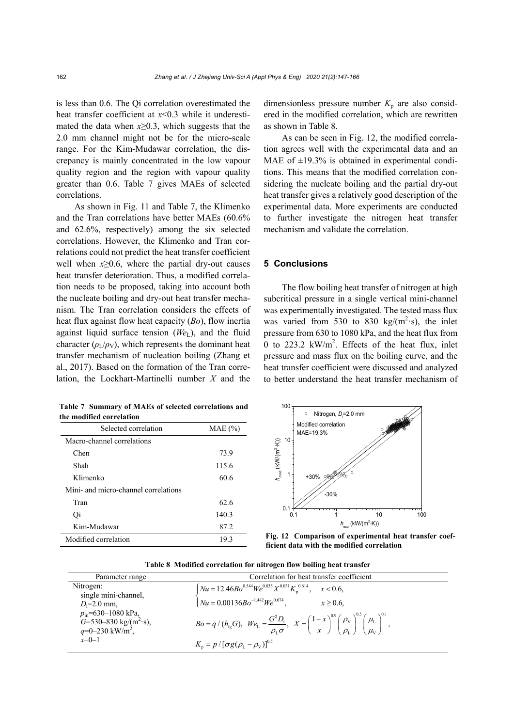is less than 0.6. The Qi correlation overestimated the heat transfer coefficient at *x*<0.3 while it underestimated the data when *x*≥0.3, which suggests that the 2.0 mm channel might not be for the micro-scale range. For the Kim-Mudawar correlation, the discrepancy is mainly concentrated in the low vapour quality region and the region with vapour quality greater than 0.6. Table 7 gives MAEs of selected correlations.

As shown in Fig. 11 and Table 7, the Klimenko and the Tran correlations have better MAEs (60.6% and 62.6%, respectively) among the six selected correlations. However, the Klimenko and Tran correlations could not predict the heat transfer coefficient well when  $x\geq0.6$ , where the partial dry-out causes heat transfer deterioration. Thus, a modified correlation needs to be proposed, taking into account both the nucleate boiling and dry-out heat transfer mechanism. The Tran correlation considers the effects of heat flux against flow heat capacity (*Bo*), flow inertia against liquid surface tension (*We*<sub>L</sub>), and the fluid character  $(\rho_L/\rho_V)$ , which represents the dominant heat transfer mechanism of nucleation boiling (Zhang et al., 2017). Based on the formation of the Tran correlation, the Lockhart-Martinelli number *X* and the dimensionless pressure number  $K_p$  are also considered in the modified correlation, which are rewritten as shown in Table 8.

As can be seen in Fig. 12, the modified correlation agrees well with the experimental data and an MAE of  $\pm$ 19.3% is obtained in experimental conditions. This means that the modified correlation considering the nucleate boiling and the partial dry-out heat transfer gives a relatively good description of the experimental data. More experiments are conducted to further investigate the nitrogen heat transfer mechanism and validate the correlation.

#### **5 Conclusions**

The flow boiling heat transfer of nitrogen at high subcritical pressure in a single vertical mini-channel was experimentally investigated. The tested mass flux was varied from 530 to 830 kg/ $(m^2 \cdot s)$ , the inlet pressure from 630 to 1080 kPa, and the heat flux from 0 to 223.2  $kW/m^2$ . Effects of the heat flux, inlet pressure and mass flux on the boiling curve, and the heat transfer coefficient were discussed and analyzed to better understand the heat transfer mechanism of

| the modified correlation             |             |  |
|--------------------------------------|-------------|--|
| Selected correlation                 | $MAE (\% )$ |  |
| Macro-channel correlations           |             |  |
| Chen                                 | 73.9        |  |
| Shah                                 | 115.6       |  |
| Klimenko                             | 60.6        |  |
| Mini- and micro-channel correlations |             |  |
| Tran                                 | 62.6        |  |
| Qi                                   | 140.3       |  |
| Kim-Mudawar                          | 87.2        |  |

Modified correlation 19.3

**Table 7 Summary of MAEs of selected correlations and** 



**Fig. 12 Comparison of experimental heat transfer coefficient data with the modified correlation**

**Table 8 Modified correlation for nitrogen flow boiling heat transfer** 

| Parameter range                                                                                        | Correlation for heat transfer coefficient                                                                                                                                                                                                                     |
|--------------------------------------------------------------------------------------------------------|---------------------------------------------------------------------------------------------------------------------------------------------------------------------------------------------------------------------------------------------------------------|
| Nitrogen:                                                                                              |                                                                                                                                                                                                                                                               |
| single mini-channel,<br>$D_i=2.0$ mm.                                                                  | $\begin{cases} Nu = 12.46Bo^{0.544}We^{0.035}X^{0.031}K_p^{0.614}, & x < 0.6, \\ Nu = 0.00136Bo^{-1.442}We^{0.074}, & x \ge 0.6, \end{cases}$                                                                                                                 |
| $p_{\text{in}}$ =630-1080 kPa,<br>$G=530-830$ kg/(m <sup>2</sup> ·s),<br>$q=0-230$ kW/m <sup>2</sup> , | $Bo = q/(h_{\text{fg}}G), \ \ We_{\text{L}} = \frac{G^2 D_{\text{i}}}{\rho_{\text{i}} \sigma}, \ \ X = \left(\frac{1-x}{x}\right)^{0.9} \left(\frac{\rho_{\text{V}}}{\rho_{\text{L}}}\right)^{0.5} \left(\frac{\mu_{\text{L}}}{\mu_{\text{V}}}\right)^{0.1},$ |
| $x=0-1$                                                                                                | $K_p = p / [\sigma g (\rho_L - \rho_V)]^{0.5}$                                                                                                                                                                                                                |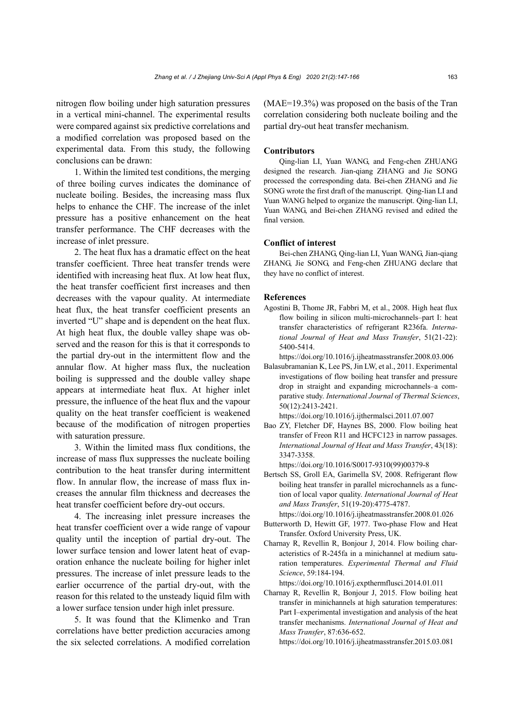nitrogen flow boiling under high saturation pressures in a vertical mini-channel. The experimental results were compared against six predictive correlations and a modified correlation was proposed based on the experimental data. From this study, the following conclusions can be drawn:

1. Within the limited test conditions, the merging of three boiling curves indicates the dominance of nucleate boiling. Besides, the increasing mass flux helps to enhance the CHF. The increase of the inlet pressure has a positive enhancement on the heat transfer performance. The CHF decreases with the increase of inlet pressure.

2. The heat flux has a dramatic effect on the heat transfer coefficient. Three heat transfer trends were identified with increasing heat flux. At low heat flux, the heat transfer coefficient first increases and then decreases with the vapour quality. At intermediate heat flux, the heat transfer coefficient presents an inverted "U" shape and is dependent on the heat flux. At high heat flux, the double valley shape was observed and the reason for this is that it corresponds to the partial dry-out in the intermittent flow and the annular flow. At higher mass flux, the nucleation boiling is suppressed and the double valley shape appears at intermediate heat flux. At higher inlet pressure, the influence of the heat flux and the vapour quality on the heat transfer coefficient is weakened because of the modification of nitrogen properties with saturation pressure.

3. Within the limited mass flux conditions, the increase of mass flux suppresses the nucleate boiling contribution to the heat transfer during intermittent flow. In annular flow, the increase of mass flux increases the annular film thickness and decreases the heat transfer coefficient before dry-out occurs.

4. The increasing inlet pressure increases the heat transfer coefficient over a wide range of vapour quality until the inception of partial dry-out. The lower surface tension and lower latent heat of evaporation enhance the nucleate boiling for higher inlet pressures. The increase of inlet pressure leads to the earlier occurrence of the partial dry-out, with the reason for this related to the unsteady liquid film with a lower surface tension under high inlet pressure.

5. It was found that the Klimenko and Tran correlations have better prediction accuracies among the six selected correlations. A modified correlation

(MAE=19.3%) was proposed on the basis of the Tran correlation considering both nucleate boiling and the partial dry-out heat transfer mechanism.

#### **Contributors**

Qing-lian LI, Yuan WANG, and Feng-chen ZHUANG designed the research. Jian-qiang ZHANG and Jie SONG processed the corresponding data. Bei-chen ZHANG and Jie SONG wrote the first draft of the manuscript. Qing-lian LI and Yuan WANG helped to organize the manuscript. Qing-lian LI, Yuan WANG, and Bei-chen ZHANG revised and edited the final version.

# **Conflict of interest**

Bei-chen ZHANG, Qing-lian LI, Yuan WANG, Jian-qiang ZHANG, Jie SONG, and Feng-chen ZHUANG declare that they have no conflict of interest.

#### **References**

Agostini B, Thome JR, Fabbri M, et al., 2008. High heat flux flow boiling in silicon multi-microchannels–part I: heat transfer characteristics of refrigerant R236fa. *International Journal of Heat and Mass Transfer*, 51(21-22): 5400-5414.

https://doi.org/10.1016/j.ijheatmasstransfer.2008.03.006

Balasubramanian K, Lee PS, Jin LW, et al., 2011. Experimental investigations of flow boiling heat transfer and pressure drop in straight and expanding microchannels–a comparative study. *International Journal of Thermal Sciences*, 50(12):2413-2421.

https://doi.org/10.1016/j.ijthermalsci.2011.07.007

Bao ZY, Fletcher DF, Haynes BS, 2000. Flow boiling heat transfer of Freon R11 and HCFC123 in narrow passages. *International Journal of Heat and Mass Transfer*, 43(18): 3347-3358.

https://doi.org/10.1016/S0017-9310(99)00379-8

- Bertsch SS, Groll EA, Garimella SV, 2008. Refrigerant flow boiling heat transfer in parallel microchannels as a function of local vapor quality. *International Journal of Heat and Mass Transfer*, 51(19-20):4775-4787.
- https://doi.org/10.1016/j.ijheatmasstransfer.2008.01.026 Butterworth D, Hewitt GF, 1977. Two-phase Flow and Heat Transfer. Oxford University Press, UK.
- Charnay R, Revellin R, Bonjour J, 2014. Flow boiling characteristics of R-245fa in a minichannel at medium saturation temperatures. *Experimental Thermal and Fluid Science*, 59:184-194.

https://doi.org/10.1016/j.expthermflusci.2014.01.011

Charnay R, Revellin R, Bonjour J, 2015. Flow boiling heat transfer in minichannels at high saturation temperatures: Part I–experimental investigation and analysis of the heat transfer mechanisms. *International Journal of Heat and Mass Transfer*, 87:636-652.

https://doi.org/10.1016/j.ijheatmasstransfer.2015.03.081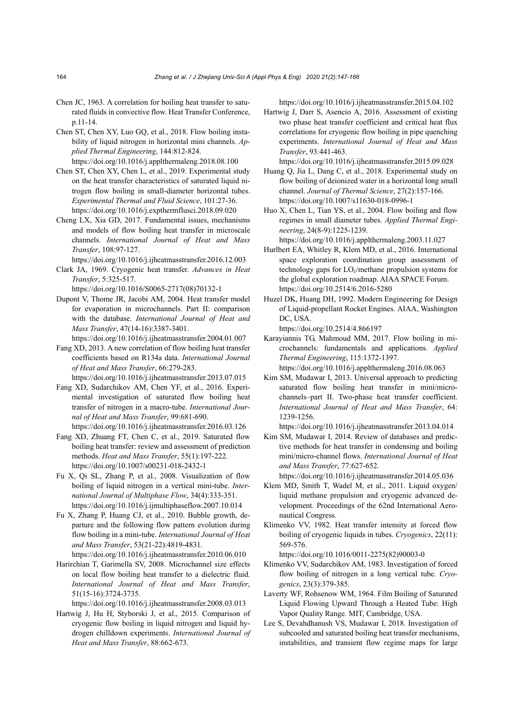- Chen JC, 1963. A correlation for boiling heat transfer to saturated fluids in convective flow. Heat Transfer Conference, p.11-14.
- Chen ST, Chen XY, Luo GQ, et al., 2018. Flow boiling instability of liquid nitrogen in horizontal mini channels. *Applied Thermal Engineering*, 144:812-824. https://doi.org/10.1016/j.applthermaleng.2018.08.100
- Chen ST, Chen XY, Chen L, et al., 2019. Experimental study on the heat transfer characteristics of saturated liquid nitrogen flow boiling in small-diameter horizontal tubes. *Experimental Thermal and Fluid Science*, 101:27-36. https://doi.org/10.1016/j.expthermflusci.2018.09.020
- Cheng LX, Xia GD, 2017. Fundamental issues, mechanisms and models of flow boiling heat transfer in microscale channels. *International Journal of Heat and Mass Transfer*, 108:97-127.
- https://doi.org/10.1016/j.ijheatmasstransfer.2016.12.003
- Clark JA, 1969. Cryogenic heat transfer. *Advances in Heat Transfer*, 5:325-517.

https://doi.org/10.1016/S0065-2717(08)70132-1

- Dupont V, Thome JR, Jacobi AM, 2004. Heat transfer model for evaporation in microchannels. Part II: comparison with the database. *International Journal of Heat and Mass Transfer*, 47(14-16):3387-3401.
	- https://doi.org/10.1016/j.ijheatmasstransfer.2004.01.007
- Fang XD, 2013. A new correlation of flow boiling heat transfer coefficients based on R134a data. *International Journal of Heat and Mass Transfer*, 66:279-283.

https://doi.org/10.1016/j.ijheatmasstransfer.2013.07.015

- Fang XD, Sudarchikov AM, Chen YF, et al., 2016. Experimental investigation of saturated flow boiling heat transfer of nitrogen in a macro-tube. *International Journal of Heat and Mass Transfer*, 99:681-690. https://doi.org/10.1016/j.ijheatmasstransfer.2016.03.126
- Fang XD, Zhuang FT, Chen C, et al., 2019. Saturated flow boiling heat transfer: review and assessment of prediction methods. *Heat and Mass Transfer*, 55(1):197-222. https://doi.org/10.1007/s00231-018-2432-1
- Fu X, Qi SL, Zhang P, et al., 2008. Visualization of flow boiling of liquid nitrogen in a vertical mini-tube. *International Journal of Multiphase Flow*, 34(4):333-351. https://doi.org/10.1016/j.ijmultiphaseflow.2007.10.014
- Fu X, Zhang P, Huang CJ, et al., 2010. Bubble growth, departure and the following flow pattern evolution during flow boiling in a mini-tube. *International Journal of Heat and Mass Transfer*, 53(21-22):4819-4831. https://doi.org/10.1016/j.ijheatmasstransfer.2010.06.010
- Harirchian T, Garimella SV, 2008. Microchannel size effects on local flow boiling heat transfer to a dielectric fluid. *International Journal of Heat and Mass Transfer*, 51(15-16):3724-3735.

https://doi.org/10.1016/j.ijheatmasstransfer.2008.03.013

Hartwig J, Hu H, Styborski J, et al., 2015. Comparison of cryogenic flow boiling in liquid nitrogen and liquid hydrogen chilldown experiments. *International Journal of Heat and Mass Transfer*, 88:662-673.

https://doi.org/10.1016/j.ijheatmasstransfer.2015.04.102

Hartwig J, Darr S, Asencio A, 2016. Assessment of existing two phase heat transfer coefficient and critical heat flux correlations for cryogenic flow boiling in pipe quenching experiments. *International Journal of Heat and Mass Transfer*, 93:441-463.

https://doi.org/10.1016/j.ijheatmasstransfer.2015.09.028

Huang Q, Jia L, Dang C, et al., 2018. Experimental study on flow boiling of deionized water in a horizontal long small channel. *Journal of Thermal Science*, 27(2):157-166. https://doi.org/10.1007/s11630-018-0996-1

Huo X, Chen L, Tian YS, et al., 2004. Flow boiling and flow regimes in small diameter tubes. *Applied Thermal Engineering*, 24(8-9):1225-1239.

https://doi.org/10.1016/j.applthermaleng.2003.11.027

- Hurlbert EA, Whitley R, Klem MD, et al., 2016. International space exploration coordination group assessment of technology gaps for LO*x*/methane propulsion systems for the global exploration roadmap. AIAA SPACE Forum. https://doi.org/10.2514/6.2016-5280
- Huzel DK, Huang DH, 1992. Modern Engineering for Design of Liquid-propellant Rocket Engines. AIAA, Washington DC, USA.

https://doi.org/10.2514/4.866197

Karayiannis TG, Mahmoud MM, 2017. Flow boiling in microchannels: fundamentals and applications. *Applied Thermal Engineering*, 115:1372-1397.

https://doi.org/10.1016/j.applthermaleng.2016.08.063

Kim SM, Mudawar I, 2013. Universal approach to predicting saturated flow boiling heat transfer in mini/microchannels–part II. Two-phase heat transfer coefficient. *International Journal of Heat and Mass Transfer*, 64: 1239-1256.

https://doi.org/10.1016/j.ijheatmasstransfer.2013.04.014

Kim SM, Mudawar I, 2014. Review of databases and predictive methods for heat transfer in condensing and boiling mini/micro-channel flows. *International Journal of Heat and Mass Transfer*, 77:627-652.

https://doi.org/10.1016/j.ijheatmasstransfer.2014.05.036

- Klem MD, Smith T, Wadel M, et al., 2011. Liquid oxygen/ liquid methane propulsion and cryogenic advanced development. Proceedings of the 62nd International Aeronautical Congress.
- Klimenko VV, 1982. Heat transfer intensity at forced flow boiling of cryogenic liquids in tubes. *Cryogenics*, 22(11): 569-576.

https://doi.org/10.1016/0011-2275(82)90003-0

- Klimenko VV, Sudarchikov AM, 1983. Investigation of forced flow boiling of nitrogen in a long vertical tube. *Cryogenics*, 23(3):379-385.
- Laverty WF, Rohsenow WM, 1964. Film Boiling of Saturated Liquid Flowing Upward Through a Heated Tube: High Vapor Quality Range. MIT, Cambridge, USA.
- Lee S, Devahdhanush VS, Mudawar I, 2018. Investigation of subcooled and saturated boiling heat transfer mechanisms, instabilities, and transient flow regime maps for large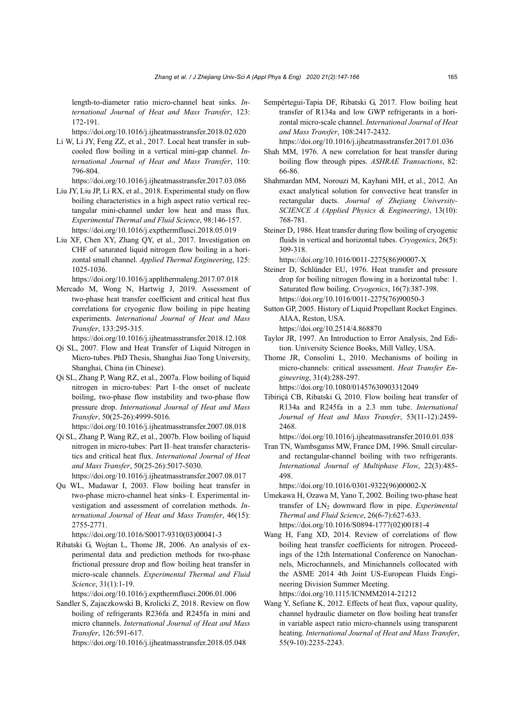length-to-diameter ratio micro-channel heat sinks. *International Journal of Heat and Mass Transfer*, 123: 172-191.

https://doi.org/10.1016/j.ijheatmasstransfer.2018.02.020

Li W, Li JY, Feng ZZ, et al., 2017. Local heat transfer in subcooled flow boiling in a vertical mini-gap channel. *International Journal of Heat and Mass Transfer*, 110: 796-804.

https://doi.org/10.1016/j.ijheatmasstransfer.2017.03.086

- Liu JY, Liu JP, Li RX, et al., 2018. Experimental study on flow boiling characteristics in a high aspect ratio vertical rectangular mini-channel under low heat and mass flux. *Experimental Thermal and Fluid Science*, 98:146-157. https://doi.org/10.1016/j.expthermflusci.2018.05.019
- Liu XF, Chen XY, Zhang QY, et al., 2017. Investigation on CHF of saturated liquid nitrogen flow boiling in a horizontal small channel. *Applied Thermal Engineering*, 125: 1025-1036.

https://doi.org/10.1016/j.applthermaleng.2017.07.018

Mercado M, Wong N, Hartwig J, 2019. Assessment of two-phase heat transfer coefficient and critical heat flux correlations for cryogenic flow boiling in pipe heating experiments. *International Journal of Heat and Mass Transfer*, 133:295-315.

https://doi.org/10.1016/j.ijheatmasstransfer.2018.12.108

- Qi SL, 2007. Flow and Heat Transfer of Liquid Nitrogen in Micro-tubes. PhD Thesis, Shanghai Jiao Tong University, Shanghai, China (in Chinese).
- Qi SL, Zhang P, Wang RZ, et al., 2007a. Flow boiling of liquid nitrogen in micro-tubes: Part I–the onset of nucleate boiling, two-phase flow instability and two-phase flow pressure drop. *International Journal of Heat and Mass Transfer*, 50(25-26):4999-5016.

https://doi.org/10.1016/j.ijheatmasstransfer.2007.08.018

Qi SL, Zhang P, Wang RZ, et al., 2007b. Flow boiling of liquid nitrogen in micro-tubes: Part II–heat transfer characteristics and critical heat flux. *International Journal of Heat and Mass Transfer*, 50(25-26):5017-5030.

https://doi.org/10.1016/j.ijheatmasstransfer.2007.08.017 Qu WL, Mudawar I, 2003. Flow boiling heat transfer in

two-phase micro-channel heat sinks–I. Experimental investigation and assessment of correlation methods. *International Journal of Heat and Mass Transfer*, 46(15): 2755-2771.

https://doi.org/10.1016/S0017-9310(03)00041-3

Ribatski G, Wojtan L, Thome JR, 2006. An analysis of experimental data and prediction methods for two-phase frictional pressure drop and flow boiling heat transfer in micro-scale channels. *Experimental Thermal and Fluid Science*, 31(1):1-19.

https://doi.org/10.1016/j.expthermflusci.2006.01.006

Sandler S, Zajaczkowski B, Krolicki Z, 2018. Review on flow boiling of refrigerants R236fa and R245fa in mini and micro channels. *International Journal of Heat and Mass Transfer*, 126:591-617.

https://doi.org/10.1016/j.ijheatmasstransfer.2018.05.048

Sempértegui-Tapia DF, Ribatski G, 2017. Flow boiling heat transfer of R134a and low GWP refrigerants in a horizontal micro-scale channel. *International Journal of Heat and Mass Transfer*, 108:2417-2432.

https://doi.org/10.1016/j.ijheatmasstransfer.2017.01.036

- Shah MM, 1976. A new correlation for heat transfer during boiling flow through pipes. *ASHRAE Transactions*, 82: 66-86.
- Shahmardan MM, Norouzi M, Kayhani MH, et al., 2012. An exact analytical solution for convective heat transfer in rectangular ducts. *Journal of Zhejiang University-SCIENCE A (Applied Physics & Engineering)*, 13(10): 768-781.
- Steiner D, 1986. Heat transfer during flow boiling of cryogenic fluids in vertical and horizontal tubes. *Cryogenics*, 26(5): 309-318.

https://doi.org/10.1016/0011-2275(86)90007-X

- Steiner D, Schlünder EU, 1976. Heat transfer and pressure drop for boiling nitrogen flowing in a horizontal tube: 1. Saturated flow boiling. *Cryogenics*, 16(7):387-398. https://doi.org/10.1016/0011-2275(76)90050-3
- Sutton GP, 2005. History of Liquid Propellant Rocket Engines. AIAA, Reston, USA. https://doi.org/10.2514/4.868870
- Taylor JR, 1997. An Introduction to Error Analysis, 2nd Edition. University Science Books, Mill Valley, USA.
- Thome JR, Consolini L, 2010. Mechanisms of boiling in micro-channels: critical assessment. *Heat Transfer Engineering*, 31(4):288-297. https://doi.org/10.1080/01457630903312049
- Tibiriçá CB, Ribatski G, 2010. Flow boiling heat transfer of R134a and R245fa in a 2.3 mm tube. *International Journal of Heat and Mass Transfer*, 53(11-12):2459- 2468.

https://doi.org/10.1016/j.ijheatmasstransfer.2010.01.038

Tran TN, Wambsganss MW, France DM, 1996. Small circularand rectangular-channel boiling with two refrigerants. *International Journal of Multiphase Flow*, 22(3):485- 498.

https://doi.org/10.1016/0301-9322(96)00002-X

- Umekawa H, Ozawa M, Yano T, 2002. Boiling two-phase heat transfer of  $LN_2$  downward flow in pipe. *Experimental Thermal and Fluid Science*, 26(6-7):627-633. https://doi.org/10.1016/S0894-1777(02)00181-4
- Wang H, Fang XD, 2014. Review of correlations of flow boiling heat transfer coefficients for nitrogen. Proceedings of the 12th International Conference on Nanochannels, Microchannels, and Minichannels collocated with the ASME 2014 4th Joint US-European Fluids Engineering Division Summer Meeting. https://doi.org/10.1115/ICNMM2014-21212
- Wang Y, Sefiane K, 2012. Effects of heat flux, vapour quality, channel hydraulic diameter on flow boiling heat transfer in variable aspect ratio micro-channels using transparent heating. *International Journal of Heat and Mass Transfer*, 55(9-10):2235-2243.